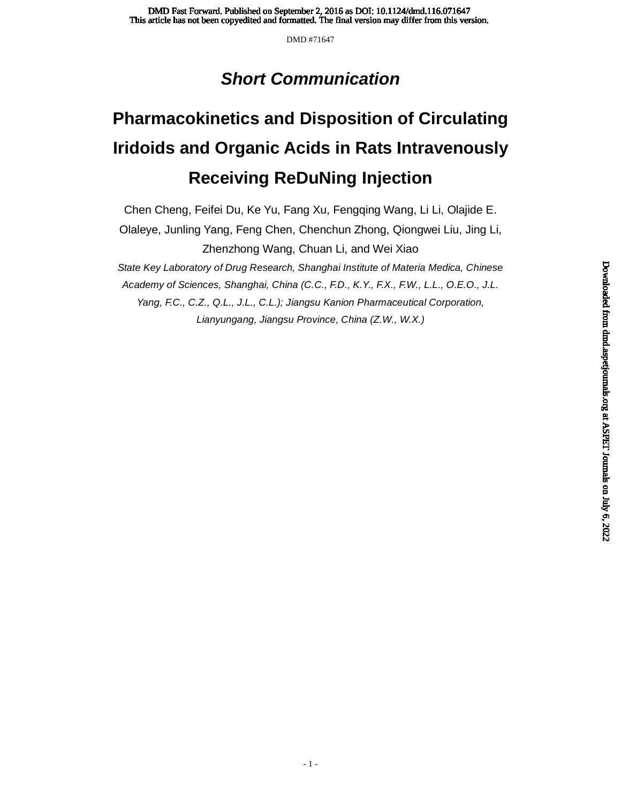# *Short Communication*

# **Pharmacokinetics and Disposition of Circulating Iridoids and Organic Acids in Rats Intravenously Receiving ReDuNing Injection**

Chen Cheng, Feifei Du, Ke Yu, Fang Xu, Fengqing Wang, Li Li, Olajide E. Olaleye, Junling Yang, Feng Chen, Chenchun Zhong, Qiongwei Liu, Jing Li, Zhenzhong Wang, Chuan Li, and Wei Xiao *State Key Laboratory of Drug Research, Shanghai Institute of Materia Medica, Chinese Academy of Sciences, Shanghai, China (C.C., F.D., K.Y., F.X., F.W., L.L., O.E.O., J.L. Yang, F.C., C.Z., Q.L., J.L., C.L.); Jiangsu Kanion Pharmaceutical Corporation, Lianyungang, Jiangsu Province, China (Z.W., W.X.)*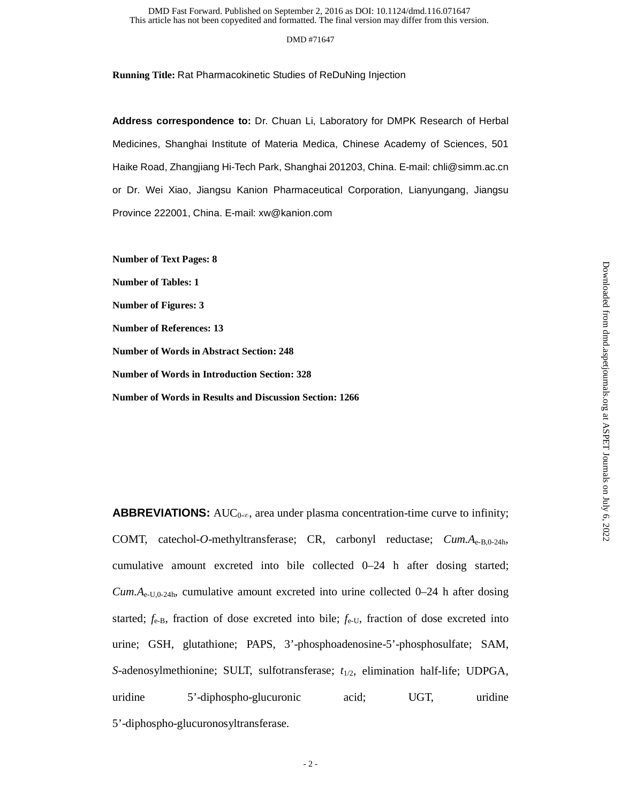#### DMD #71647

**Running Title:** Rat Pharmacokinetic Studies of ReDuNing Injection

**Address correspondence to:** Dr. Chuan Li, Laboratory for DMPK Research of Herbal Medicines, Shanghai Institute of Materia Medica, Chinese Academy of Sciences, 501 Haike Road, Zhangjiang Hi-Tech Park, Shanghai 201203, China. E-mail: chli@simm.ac.cn or Dr. Wei Xiao, Jiangsu Kanion Pharmaceutical Corporation, Lianyungang, Jiangsu Province 222001, China. E-mail: xw@kanion.com

**Number of Text Pages: 8** 

**Number of Tables: 1** 

**Number of Figures: 3** 

**Number of References: 13** 

**Number of Words in Abstract Section: 248** 

**Number of Words in Introduction Section: 328** 

**Number of Words in Results and Discussion Section: 1266** 

**ABBREVIATIONS:** AUC<sub>0-∞</sub>, area under plasma concentration-time curve to infinity; COMT, catechol-*O*-methyltransferase; CR, carbonyl reductase; *Cum.A*e-B,0-24h, cumulative amount excreted into bile collected 0–24 h after dosing started;  $Cum.A_{e-U,0-24h}$ , cumulative amount excreted into urine collected  $0-24$  h after dosing started;  $f_{e-B}$ , fraction of dose excreted into bile;  $f_{e-U}$ , fraction of dose excreted into urine; GSH, glutathione; PAPS, 3'-phosphoadenosine-5'-phosphosulfate; SAM, *S*-adenosylmethionine; SULT, sulfotransferase; *t*1/2, elimination half-life; UDPGA, uridine 5'-diphospho-glucuronic acid; UGT, uridine 5'-diphospho-glucuronosyltransferase.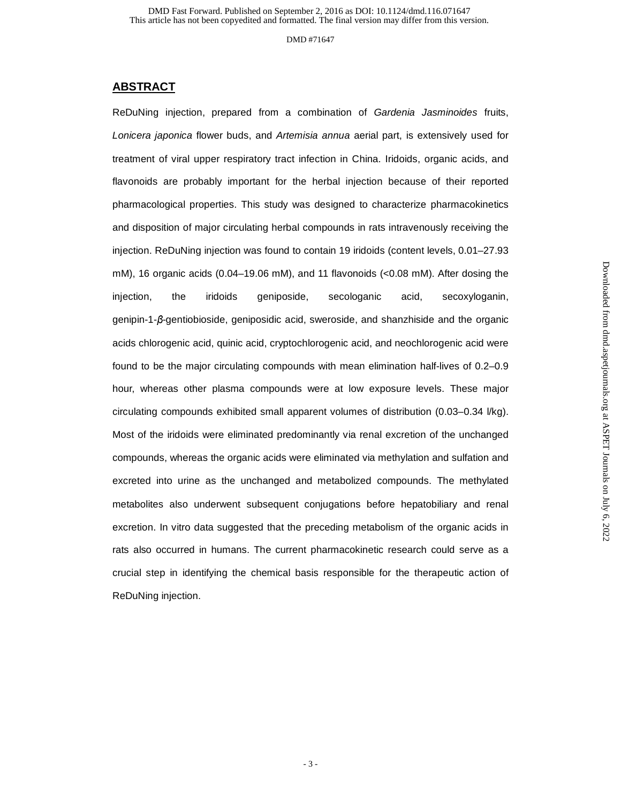### **ABSTRACT**

ReDuNing injection, prepared from a combination of *Gardenia Jasminoides* fruits, *Lonicera japonica* flower buds, and *Artemisia annua* aerial part, is extensively used for treatment of viral upper respiratory tract infection in China. Iridoids, organic acids, and flavonoids are probably important for the herbal injection because of their reported pharmacological properties. This study was designed to characterize pharmacokinetics and disposition of major circulating herbal compounds in rats intravenously receiving the injection. ReDuNing injection was found to contain 19 iridoids (content levels, 0.01–27.93 mM), 16 organic acids (0.04–19.06 mM), and 11 flavonoids (<0.08 mM). After dosing the injection, the iridoids geniposide, secologanic acid, secoxyloganin, genipin-1-β-gentiobioside, geniposidic acid, sweroside, and shanzhiside and the organic acids chlorogenic acid, quinic acid, cryptochlorogenic acid, and neochlorogenic acid were found to be the major circulating compounds with mean elimination half-lives of 0.2–0.9 hour, whereas other plasma compounds were at low exposure levels. These major circulating compounds exhibited small apparent volumes of distribution (0.03–0.34 l/kg). Most of the iridoids were eliminated predominantly via renal excretion of the unchanged compounds, whereas the organic acids were eliminated via methylation and sulfation and excreted into urine as the unchanged and metabolized compounds. The methylated metabolites also underwent subsequent conjugations before hepatobiliary and renal excretion. In vitro data suggested that the preceding metabolism of the organic acids in rats also occurred in humans. The current pharmacokinetic research could serve as a crucial step in identifying the chemical basis responsible for the therapeutic action of ReDuNing injection.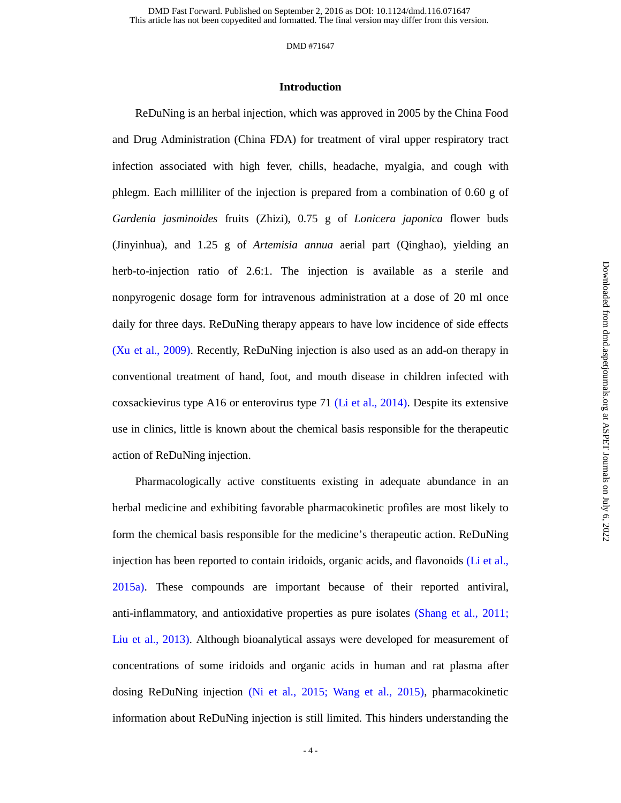#### DMD #71647

#### **Introduction**

ReDuNing is an herbal injection, which was approved in 2005 by the China Food and Drug Administration (China FDA) for treatment of viral upper respiratory tract infection associated with high fever, chills, headache, myalgia, and cough with phlegm. Each milliliter of the injection is prepared from a combination of 0.60 g of *Gardenia jasminoides* fruits (Zhizi), 0.75 g of *Lonicera japonica* flower buds (Jinyinhua), and 1.25 g of *Artemisia annua* aerial part (Qinghao), yielding an herb-to-injection ratio of 2.6:1. The injection is available as a sterile and nonpyrogenic dosage form for intravenous administration at a dose of 20 ml once daily for three days. ReDuNing therapy appears to have low incidence of side effects (Xu et al., 2009). Recently, ReDuNing injection is also used as an add-on therapy in conventional treatment of hand, foot, and mouth disease in children infected with coxsackievirus type A16 or enterovirus type 71 (Li et al., 2014). Despite its extensive use in clinics, little is known about the chemical basis responsible for the therapeutic action of ReDuNing injection.

Pharmacologically active constituents existing in adequate abundance in an herbal medicine and exhibiting favorable pharmacokinetic profiles are most likely to form the chemical basis responsible for the medicine's therapeutic action. ReDuNing injection has been reported to contain iridoids, organic acids, and flavonoids (Li et al., 2015a). These compounds are important because of their reported antiviral, anti-inflammatory, and antioxidative properties as pure isolates (Shang et al., 2011; Liu et al., 2013). Although bioanalytical assays were developed for measurement of concentrations of some iridoids and organic acids in human and rat plasma after dosing ReDuNing injection (Ni et al., 2015; Wang et al., 2015), pharmacokinetic information about ReDuNing injection is still limited. This hinders understanding the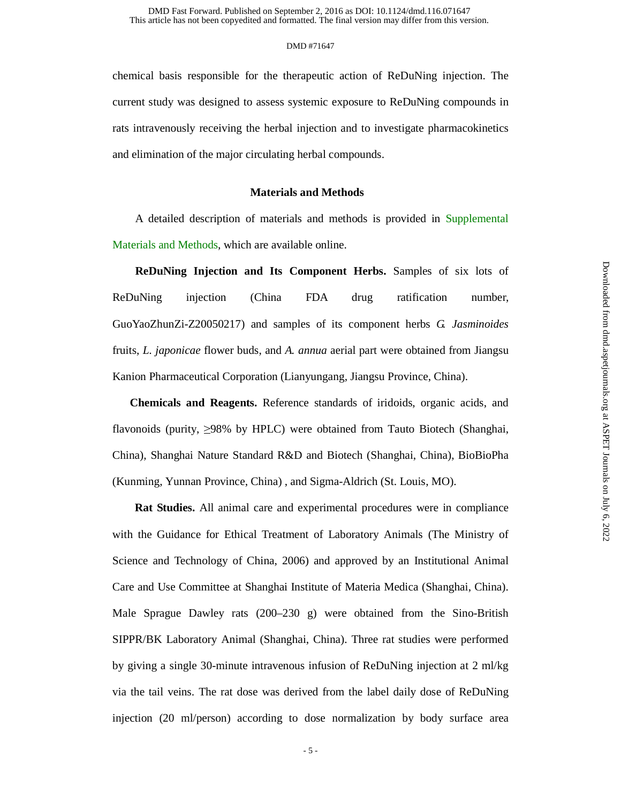chemical basis responsible for the therapeutic action of ReDuNing injection. The current study was designed to assess systemic exposure to ReDuNing compounds in rats intravenously receiving the herbal injection and to investigate pharmacokinetics and elimination of the major circulating herbal compounds.

#### **Materials and Methods**

A detailed description of materials and methods is provided in Supplemental Materials and Methods, which are available online.

**ReDuNing Injection and Its Component Herbs.** Samples of six lots of ReDuNing injection (China FDA drug ratification number, GuoYaoZhunZi-Z20050217) and samples of its component herbs *G. Jasminoides*  fruits, *L. japonicae* flower buds, and *A. annua* aerial part were obtained from Jiangsu Kanion Pharmaceutical Corporation (Lianyungang, Jiangsu Province, China).

**Chemicals and Reagents.** Reference standards of iridoids, organic acids, and flavonoids (purity, ≥98% by HPLC) were obtained from Tauto Biotech (Shanghai, China), Shanghai Nature Standard R&D and Biotech (Shanghai, China), BioBioPha (Kunming, Yunnan Province, China) , and Sigma-Aldrich (St. Louis, MO).

**Rat Studies.** All animal care and experimental procedures were in compliance with the Guidance for Ethical Treatment of Laboratory Animals (The Ministry of Science and Technology of China, 2006) and approved by an Institutional Animal Care and Use Committee at Shanghai Institute of Materia Medica (Shanghai, China). Male Sprague Dawley rats (200–230 g) were obtained from the Sino-British SIPPR/BK Laboratory Animal (Shanghai, China). Three rat studies were performed by giving a single 30-minute intravenous infusion of ReDuNing injection at 2 ml/kg via the tail veins. The rat dose was derived from the label daily dose of ReDuNing injection (20 ml/person) according to dose normalization by body surface area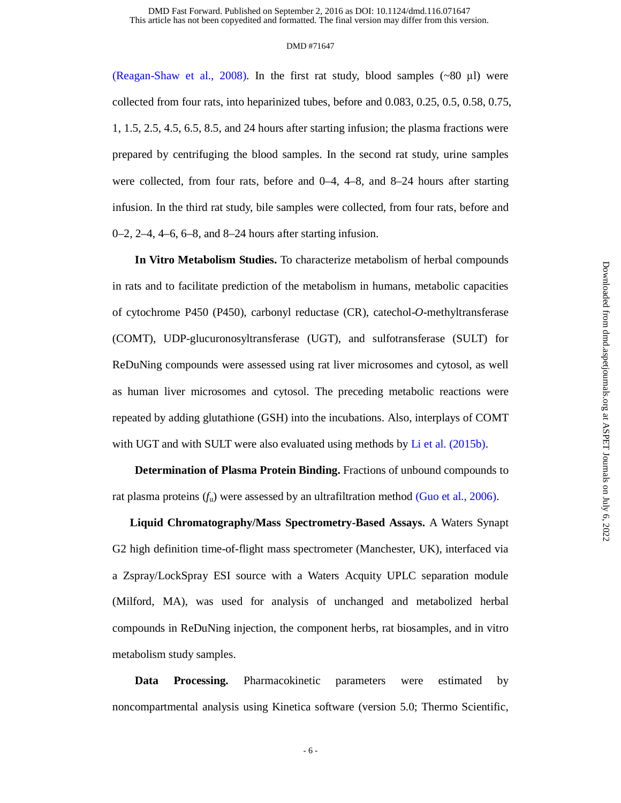(Reagan-Shaw et al., 2008). In the first rat study, blood samples  $({\sim}80 \mu l)$  were collected from four rats, into heparinized tubes, before and 0.083, 0.25, 0.5, 0.58, 0.75, 1, 1.5, 2.5, 4.5, 6.5, 8.5, and 24 hours after starting infusion; the plasma fractions were prepared by centrifuging the blood samples. In the second rat study, urine samples were collected, from four rats, before and 0–4, 4–8, and 8–24 hours after starting infusion. In the third rat study, bile samples were collected, from four rats, before and 0–2, 2–4, 4–6, 6–8, and 8–24 hours after starting infusion.

**In Vitro Metabolism Studies.** To characterize metabolism of herbal compounds in rats and to facilitate prediction of the metabolism in humans, metabolic capacities of cytochrome P450 (P450), carbonyl reductase (CR), catechol-*O*-methyltransferase (COMT), UDP-glucuronosyltransferase (UGT), and sulfotransferase (SULT) for ReDuNing compounds were assessed using rat liver microsomes and cytosol, as well as human liver microsomes and cytosol. The preceding metabolic reactions were repeated by adding glutathione (GSH) into the incubations. Also, interplays of COMT with UGT and with SULT were also evaluated using methods by Li et al. (2015b).

**Determination of Plasma Protein Binding.** Fractions of unbound compounds to rat plasma proteins  $(f_u)$  were assessed by an ultrafiltration method (Guo et al., 2006).

**Liquid Chromatography/Mass Spectrometry-Based Assays.** A Waters Synapt G2 high definition time-of-flight mass spectrometer (Manchester, UK), interfaced via a Zspray/LockSpray ESI source with a Waters Acquity UPLC separation module (Milford, MA), was used for analysis of unchanged and metabolized herbal compounds in ReDuNing injection, the component herbs, rat biosamples, and in vitro metabolism study samples.

**Data Processing.** Pharmacokinetic parameters were estimated by noncompartmental analysis using Kinetica software (version 5.0; Thermo Scientific,

 $-6-$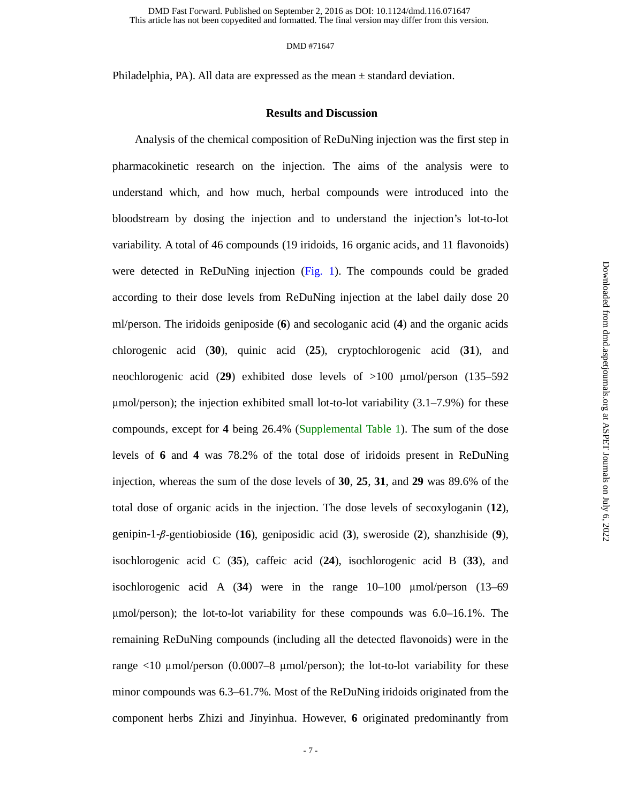#### DMD #71647

Philadelphia, PA). All data are expressed as the mean ± standard deviation.

#### **Results and Discussion**

Analysis of the chemical composition of ReDuNing injection was the first step in pharmacokinetic research on the injection. The aims of the analysis were to understand which, and how much, herbal compounds were introduced into the bloodstream by dosing the injection and to understand the injection's lot-to-lot variability. A total of 46 compounds (19 iridoids, 16 organic acids, and 11 flavonoids) were detected in ReDuNing injection (Fig. 1). The compounds could be graded according to their dose levels from ReDuNing injection at the label daily dose 20 ml/person. The iridoids geniposide (**6**) and secologanic acid (**4**) and the organic acids chlorogenic acid (**30**), quinic acid (**25**), cryptochlorogenic acid (**31**), and neochlorogenic acid (**29**) exhibited dose levels of >100 μmol/person (135–592  $\mu$ mol/person); the injection exhibited small lot-to-lot variability  $(3.1–7.9%)$  for these compounds, except for **4** being 26.4% (Supplemental Table 1). The sum of the dose levels of **6** and **4** was 78.2% of the total dose of iridoids present in ReDuNing injection, whereas the sum of the dose levels of **30**, **25**, **31**, and **29** was 89.6% of the total dose of organic acids in the injection. The dose levels of secoxyloganin (**12**), genipin-1-β-gentiobioside (**16**), geniposidic acid (**3**), sweroside (**2**), shanzhiside (**9**), isochlorogenic acid C (**35**), caffeic acid (**24**), isochlorogenic acid B (**33**), and isochlorogenic acid A (**34**) were in the range 10–100 μmol/person (13–69 <sup>μ</sup>mol/person); the lot-to-lot variability for these compounds was 6.0–16.1%. The remaining ReDuNing compounds (including all the detected flavonoids) were in the range  $\langle 10 \text{ \mu mol/person } (0.0007-8 \text{ \mu mol/person})$ ; the lot-to-lot variability for these minor compounds was 6.3–61.7%. Most of the ReDuNing iridoids originated from the component herbs Zhizi and Jinyinhua. However, **6** originated predominantly from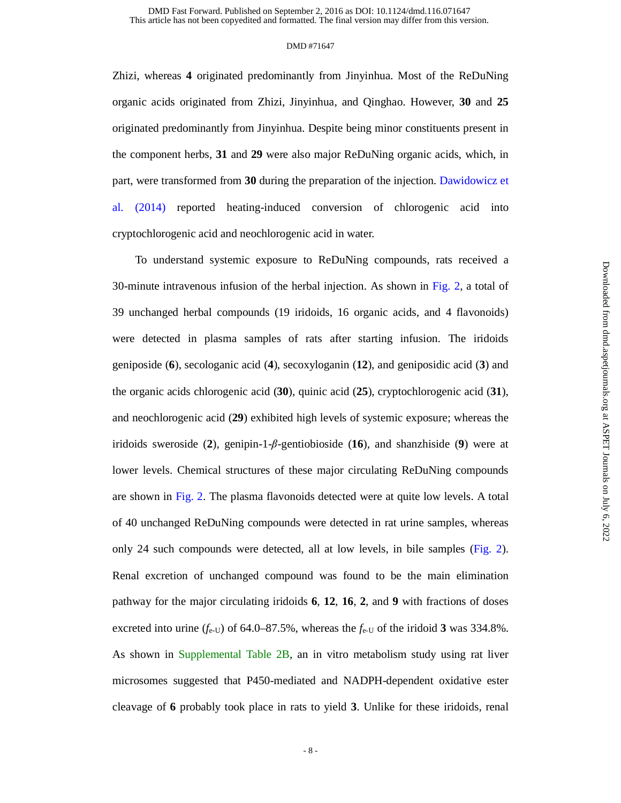Zhizi, whereas **4** originated predominantly from Jinyinhua. Most of the ReDuNing organic acids originated from Zhizi, Jinyinhua, and Qinghao. However, **30** and **25** originated predominantly from Jinyinhua. Despite being minor constituents present in the component herbs, **31** and **29** were also major ReDuNing organic acids, which, in part, were transformed from **30** during the preparation of the injection. Dawidowicz et al. (2014) reported heating-induced conversion of chlorogenic acid into cryptochlorogenic acid and neochlorogenic acid in water.

To understand systemic exposure to ReDuNing compounds, rats received a 30-minute intravenous infusion of the herbal injection. As shown in Fig. 2, a total of 39 unchanged herbal compounds (19 iridoids, 16 organic acids, and 4 flavonoids) were detected in plasma samples of rats after starting infusion. The iridoids geniposide (**6**), secologanic acid (**4**), secoxyloganin (**12**), and geniposidic acid (**3**) and the organic acids chlorogenic acid (**30**), quinic acid (**25**), cryptochlorogenic acid (**31**), and neochlorogenic acid (**29**) exhibited high levels of systemic exposure; whereas the iridoids sweroside (2), genipin-1- $\beta$ -gentiobioside (16), and shanzhiside (9) were at lower levels. Chemical structures of these major circulating ReDuNing compounds are shown in Fig. 2. The plasma flavonoids detected were at quite low levels. A total of 40 unchanged ReDuNing compounds were detected in rat urine samples, whereas only 24 such compounds were detected, all at low levels, in bile samples (Fig. 2). Renal excretion of unchanged compound was found to be the main elimination pathway for the major circulating iridoids **6**, **12**, **16**, **2**, and **9** with fractions of doses excreted into urine  $(f_{e-U})$  of 64.0–87.5%, whereas the  $f_{e-U}$  of the iridoid 3 was 334.8%. As shown in Supplemental Table 2B, an in vitro metabolism study using rat liver microsomes suggested that P450-mediated and NADPH-dependent oxidative ester cleavage of **6** probably took place in rats to yield **3**. Unlike for these iridoids, renal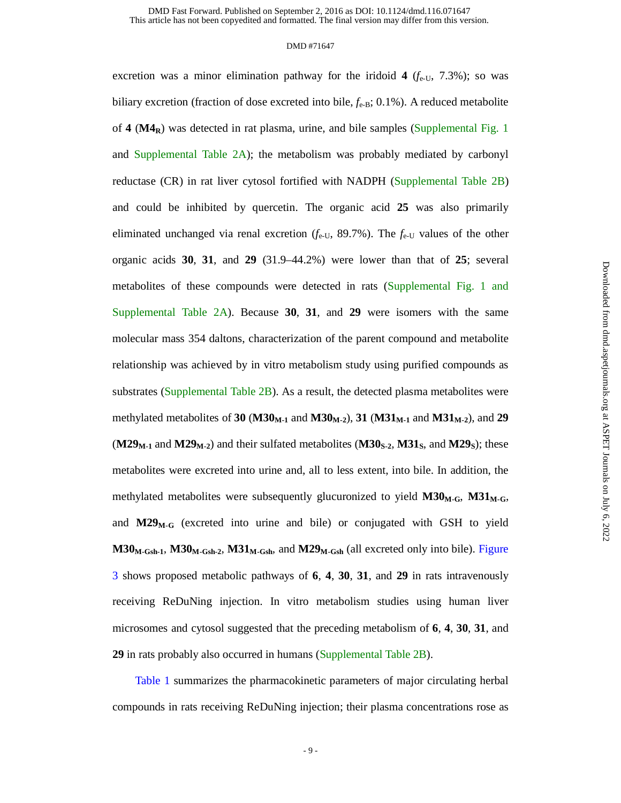#### DMD #71647

excretion was a minor elimination pathway for the iridoid  $4$  ( $f_{e-U}$ , 7.3%); so was biliary excretion (fraction of dose excreted into bile,  $f_{e-B}$ ; 0.1%). A reduced metabolite of **4** (**M4R**) was detected in rat plasma, urine, and bile samples (Supplemental Fig. 1 and Supplemental Table  $2A$ ); the metabolism was probably mediated by carbonyl reductase (CR) in rat liver cytosol fortified with NADPH (Supplemental Table 2B) and could be inhibited by quercetin. The organic acid **25** was also primarily eliminated unchanged via renal excretion  $(f_{e-U}, 89.7\%)$ . The  $f_{e-U}$  values of the other organic acids **30**, **31**, and **29** (31.9–44.2%) were lower than that of **25**; several metabolites of these compounds were detected in rats (Supplemental Fig. 1 and Supplemental Table 2A). Because **30**, **31**, and **29** were isomers with the same molecular mass 354 daltons, characterization of the parent compound and metabolite relationship was achieved by in vitro metabolism study using purified compounds as substrates (Supplemental Table 2B). As a result, the detected plasma metabolites were methylated metabolites of 30 ( $M30_{M-1}$  and  $M30_{M-2}$ ), 31 ( $M31_{M-1}$  and  $M31_{M-2}$ ), and 29  $(M29<sub>M-1</sub>$  and  $M29<sub>M-2</sub>)$  and their sulfated metabolites  $(M30<sub>S-2</sub>, M31<sub>S</sub>)$ , and  $M29<sub>S</sub>$ ); these metabolites were excreted into urine and, all to less extent, into bile. In addition, the methylated metabolites were subsequently glucuronized to yield  $M30_{M-G}$ ,  $M31_{M-G}$ , and  $M29_{M-G}$  (excreted into urine and bile) or conjugated with GSH to yield  $M30_{M\text{-}Gsh-1}$ ,  $M30_{M\text{-}Gsh-2}$ ,  $M31_{M\text{-}Gsh}$ , and  $M29_{M\text{-}Gsh}$  (all excreted only into bile). Figure 3 shows proposed metabolic pathways of **6**, **4**, **30**, **31**, and **29** in rats intravenously receiving ReDuNing injection. In vitro metabolism studies using human liver microsomes and cytosol suggested that the preceding metabolism of **6**, **4**, **30**, **31**, and **29** in rats probably also occurred in humans (Supplemental Table 2B).

Table 1 summarizes the pharmacokinetic parameters of major circulating herbal compounds in rats receiving ReDuNing injection; their plasma concentrations rose as

 $-9-$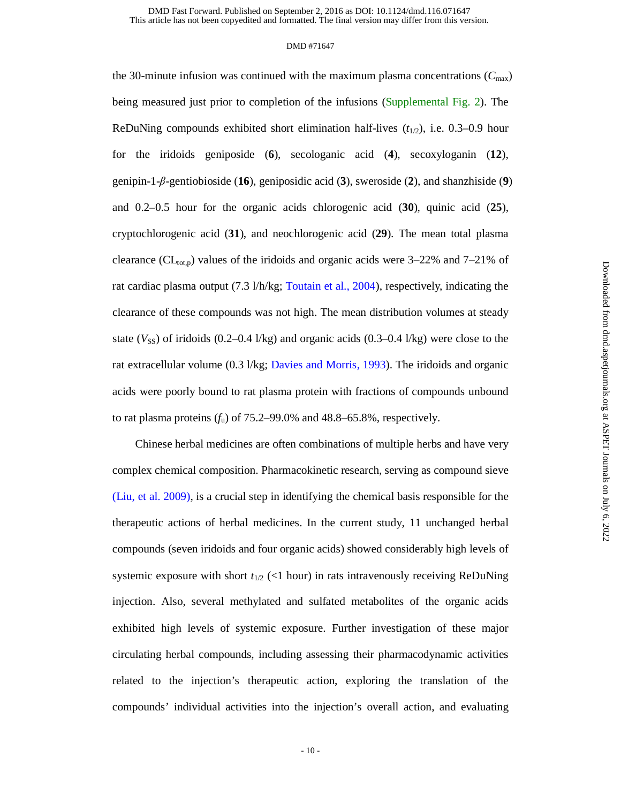#### DMD #71647

the 30-minute infusion was continued with the maximum plasma concentrations ( $C_{\text{max}}$ ) being measured just prior to completion of the infusions (Supplemental Fig. 2). The ReDuNing compounds exhibited short elimination half-lives  $(t_{1/2})$ , i.e. 0.3–0.9 hour for the iridoids geniposide (**6**), secologanic acid (**4**), secoxyloganin (**12**), genipin-1-β-gentiobioside (**16**), geniposidic acid (**3**), sweroside (**2**), and shanzhiside (**9**) and 0.2–0.5 hour for the organic acids chlorogenic acid (**30**), quinic acid (**25**), cryptochlorogenic acid (**31**), and neochlorogenic acid (**29**). The mean total plasma clearance (CL<sub>tot,p</sub>) values of the iridoids and organic acids were  $3-22\%$  and  $7-21\%$  of rat cardiac plasma output (7.3 l/h/kg; Toutain et al., 2004), respectively, indicating the clearance of these compounds was not high. The mean distribution volumes at steady state  $(V_{SS})$  of iridoids  $(0.2-0.4 \text{ l/kg})$  and organic acids  $(0.3-0.4 \text{ l/kg})$  were close to the rat extracellular volume (0.3 l/kg; Davies and Morris, 1993). The iridoids and organic acids were poorly bound to rat plasma protein with fractions of compounds unbound to rat plasma proteins  $(f_u)$  of 75.2–99.0% and 48.8–65.8%, respectively.

Chinese herbal medicines are often combinations of multiple herbs and have very complex chemical composition. Pharmacokinetic research, serving as compound sieve (Liu, et al. 2009), is a crucial step in identifying the chemical basis responsible for the therapeutic actions of herbal medicines. In the current study, 11 unchanged herbal compounds (seven iridoids and four organic acids) showed considerably high levels of systemic exposure with short  $t_{1/2}$  (<1 hour) in rats intravenously receiving ReDuNing injection. Also, several methylated and sulfated metabolites of the organic acids exhibited high levels of systemic exposure. Further investigation of these major circulating herbal compounds, including assessing their pharmacodynamic activities related to the injection's therapeutic action, exploring the translation of the compounds' individual activities into the injection's overall action, and evaluating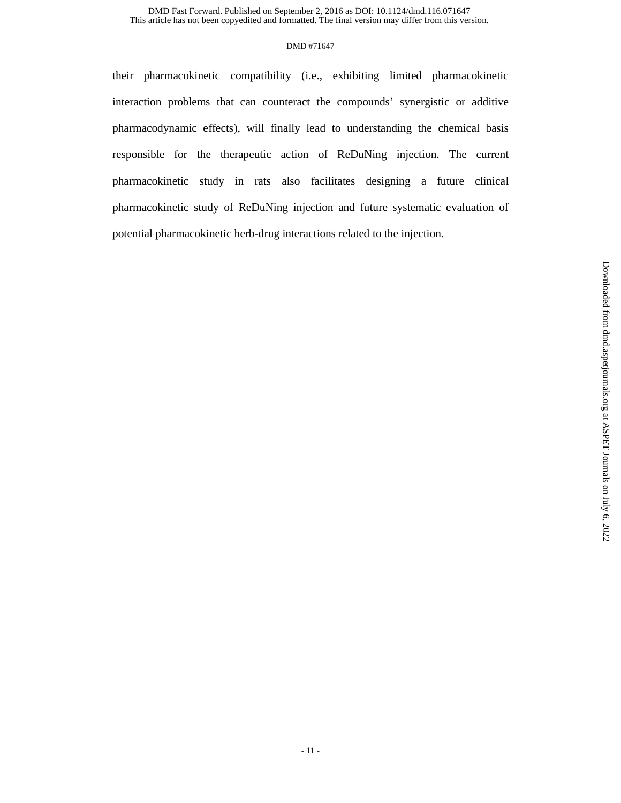#### DMD #71647

their pharmacokinetic compatibility (i.e., exhibiting limited pharmacokinetic interaction problems that can counteract the compounds' synergistic or additive pharmacodynamic effects), will finally lead to understanding the chemical basis responsible for the therapeutic action of ReDuNing injection. The current pharmacokinetic study in rats also facilitates designing a future clinical pharmacokinetic study of ReDuNing injection and future systematic evaluation of potential pharmacokinetic herb-drug interactions related to the injection.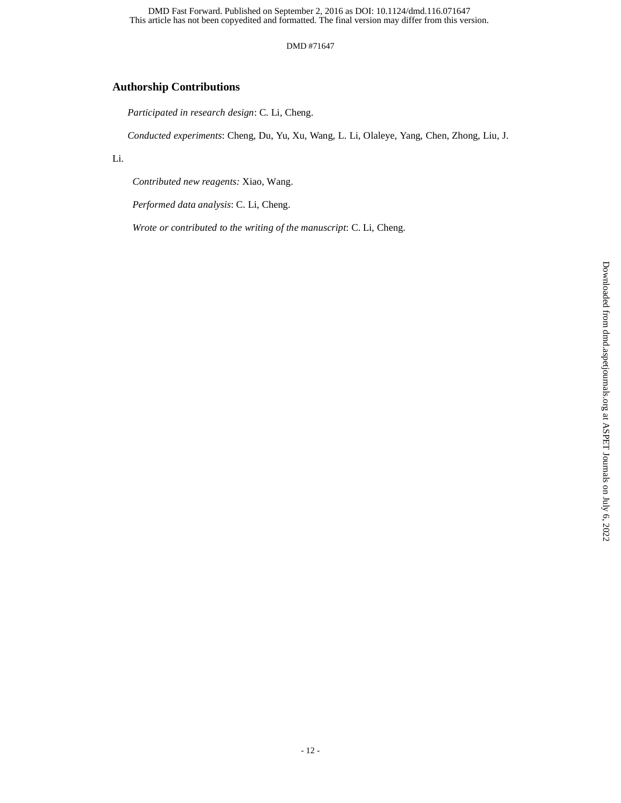#### DMD #71647

# **Authorship Contributions**

*Participated in research design*: C. Li, Cheng.

*Conducted experiments*: Cheng, Du, Yu, Xu, Wang, L. Li, Olaleye, Yang, Chen, Zhong, Liu, J.

#### Li.

*Contributed new reagents:* Xiao, Wang.

*Performed data analysis*: C. Li, Cheng.

*Wrote or contributed to the writing of the manuscript*: C. Li, Cheng.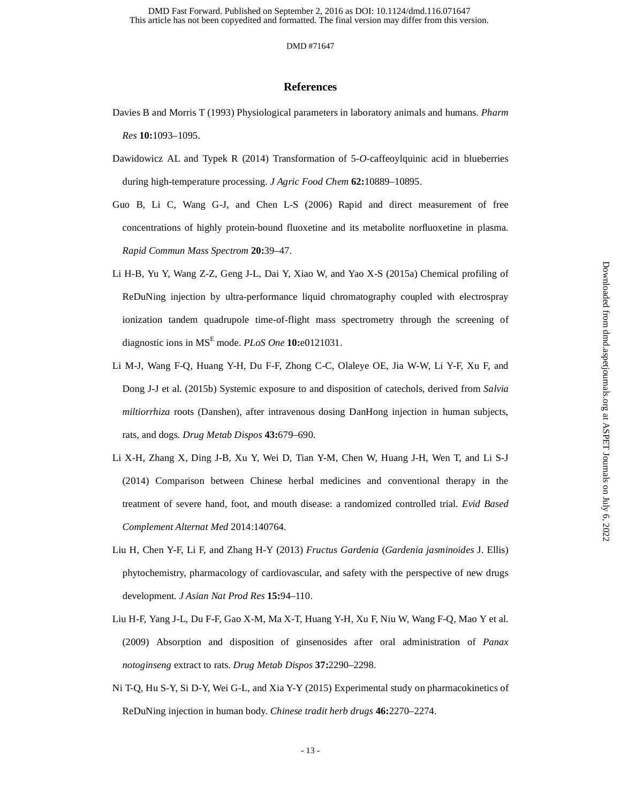#### DMD #71647

#### **References**

- Davies B and Morris T (1993) Physiological parameters in laboratory animals and humans. *Pharm Res* **10:**1093–1095.
- Dawidowicz AL and Typek R (2014) Transformation of 5-*O*-caffeoylquinic acid in blueberries during high-temperature processing. *J Agric Food Chem* **62:**10889–10895.
- Guo B, Li C, Wang G-J, and Chen L-S (2006) Rapid and direct measurement of free concentrations of highly protein-bound fluoxetine and its metabolite norfluoxetine in plasma. *Rapid Commun Mass Spectrom* **20:**39–47.
- Li H-B, Yu Y, Wang Z-Z, Geng J-L, Dai Y, Xiao W, and Yao X-S (2015a) Chemical profiling of ReDuNing injection by ultra-performance liquid chromatography coupled with electrospray ionization tandem quadrupole time-of-flight mass spectrometry through the screening of diagnostic ions in MSE mode. *PLoS One* **10:**e0121031.
- Li M-J, Wang F-Q, Huang Y-H, Du F-F, Zhong C-C, Olaleye OE, Jia W-W, Li Y-F, Xu F, and Dong J-J et al. (2015b) Systemic exposure to and disposition of catechols, derived from *Salvia miltiorrhiza* roots (Danshen), after intravenous dosing DanHong injection in human subjects, rats, and dogs. *Drug Metab Dispos* **43:**679–690.
- Li X-H, Zhang X, Ding J-B, Xu Y, Wei D, Tian Y-M, Chen W, Huang J-H, Wen T, and Li S-J (2014) Comparison between Chinese herbal medicines and conventional therapy in the treatment of severe hand, foot, and mouth disease: a randomized controlled trial. *Evid Based Complement Alternat Med* 2014:140764.
- Liu H, Chen Y-F, Li F, and Zhang H-Y (2013) *Fructus Gardenia* (*Gardenia jasminoides* J. Ellis) phytochemistry, pharmacology of cardiovascular, and safety with the perspective of new drugs development. *J Asian Nat Prod Res* **15:**94–110.
- Liu H-F, Yang J-L, Du F-F, Gao X-M, Ma X-T, Huang Y-H, Xu F, Niu W, Wang F-Q, Mao Y et al. (2009) Absorption and disposition of ginsenosides after oral administration of *Panax notoginseng* extract to rats. *Drug Metab Dispos* **37:**2290–2298.
- Ni T-Q, Hu S-Y, Si D-Y, Wei G-L, and Xia Y-Y (2015) Experimental study on pharmacokinetics of ReDuNing injection in human body. *Chinese tradit herb drugs* **46:**2270–2274.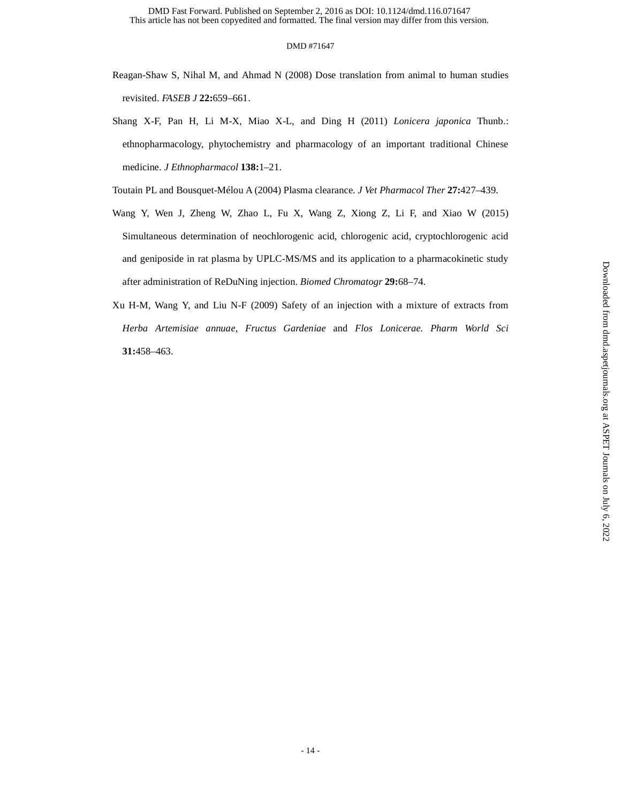- Reagan-Shaw S, Nihal M, and Ahmad N (2008) Dose translation from animal to human studies revisited. *FASEB J* **22:**659–661.
- Shang X-F, Pan H, Li M-X, Miao X-L, and Ding H (2011) *Lonicera japonica* Thunb.: ethnopharmacology, phytochemistry and pharmacology of an important traditional Chinese medicine. *J Ethnopharmacol* **138:**1–21.

Toutain PL and Bousquet-Mélou A (2004) Plasma clearance. *J Vet Pharmacol Ther* **27:**427–439.

- Wang Y, Wen J, Zheng W, Zhao L, Fu X, Wang Z, Xiong Z, Li F, and Xiao W (2015) Simultaneous determination of neochlorogenic acid, chlorogenic acid, cryptochlorogenic acid and geniposide in rat plasma by UPLC-MS/MS and its application to a pharmacokinetic study after administration of ReDuNing injection. *Biomed Chromatogr* **29:**68–74.
- Xu H-M, Wang Y, and Liu N-F (2009) Safety of an injection with a mixture of extracts from *Herba Artemisiae annuae*, *Fructus Gardeniae* and *Flos Lonicerae*. *Pharm World Sci* **31:**458–463.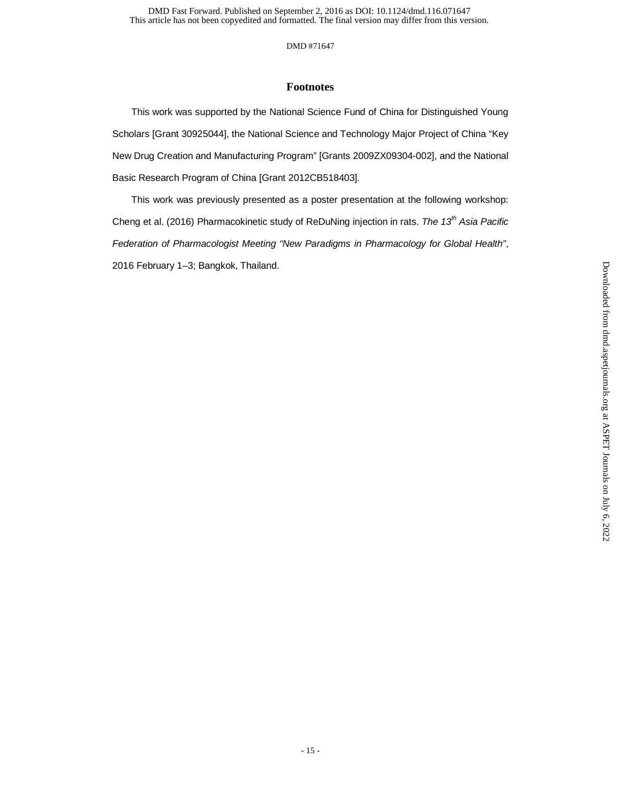## **Footnotes**

This work was supported by the National Science Fund of China for Distinguished Young Scholars [Grant 30925044], the National Science and Technology Major Project of China "Key New Drug Creation and Manufacturing Program" [Grants 2009ZX09304-002], and the National Basic Research Program of China [Grant 2012CB518403].

This work was previously presented as a poster presentation at the following workshop: Cheng et al. (2016) Pharmacokinetic study of ReDuNing injection in rats. *The 13th Asia Pacific Federation of Pharmacologist Meeting "New Paradigms in Pharmacology for Global Health"*, 2016 February 1–3; Bangkok, Thailand.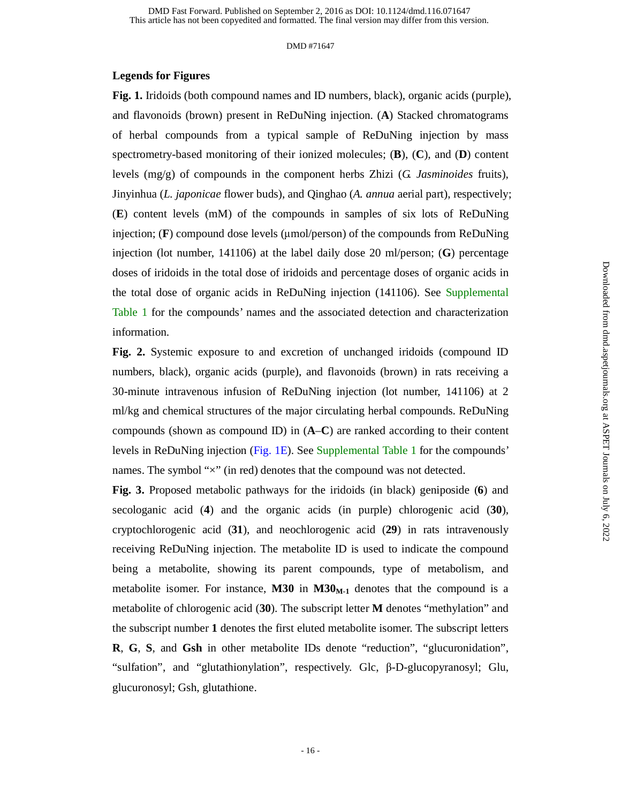#### **Legends for Figures**

**Fig. 1.** Iridoids (both compound names and ID numbers, black), organic acids (purple), and flavonoids (brown) present in ReDuNing injection. (**A**) Stacked chromatograms of herbal compounds from a typical sample of ReDuNing injection by mass spectrometry-based monitoring of their ionized molecules; (**B**), (**C**), and (**D**) content levels (mg/g) of compounds in the component herbs Zhizi (*G. Jasminoides* fruits), Jinyinhua (*L. japonicae* flower buds), and Qinghao (*A. annua* aerial part), respectively; (**E**) content levels (mM) of the compounds in samples of six lots of ReDuNing injection; (**F**) compound dose levels (μmol/person) of the compounds from ReDuNing injection (lot number, 141106) at the label daily dose 20 ml/person; (**G**) percentage doses of iridoids in the total dose of iridoids and percentage doses of organic acids in the total dose of organic acids in ReDuNing injection (141106). See Supplemental Table 1 for the compounds' names and the associated detection and characterization information.

**Fig. 2.** Systemic exposure to and excretion of unchanged iridoids (compound ID numbers, black), organic acids (purple), and flavonoids (brown) in rats receiving a 30-minute intravenous infusion of ReDuNing injection (lot number, 141106) at 2 ml/kg and chemical structures of the major circulating herbal compounds. ReDuNing compounds (shown as compound ID) in (**A**–**C**) are ranked according to their content levels in ReDuNing injection (Fig. 1E). See Supplemental Table 1 for the compounds' names. The symbol " $\times$ " (in red) denotes that the compound was not detected.

**Fig. 3.** Proposed metabolic pathways for the iridoids (in black) geniposide (**6**) and secologanic acid (**4**) and the organic acids (in purple) chlorogenic acid (**30**), cryptochlorogenic acid (**31**), and neochlorogenic acid (**29**) in rats intravenously receiving ReDuNing injection. The metabolite ID is used to indicate the compound being a metabolite, showing its parent compounds, type of metabolism, and metabolite isomer. For instance,  $M30$  in  $M30<sub>M-1</sub>$  denotes that the compound is a metabolite of chlorogenic acid (**30**). The subscript letter **M** denotes "methylation" and the subscript number **1** denotes the first eluted metabolite isomer. The subscript letters **R**, **G**, **S**, and **Gsh** in other metabolite IDs denote "reduction", "glucuronidation", "sulfation", and "glutathionylation", respectively. Glc, β-D-glucopyranosyl; Glu, glucuronosyl; Gsh, glutathione.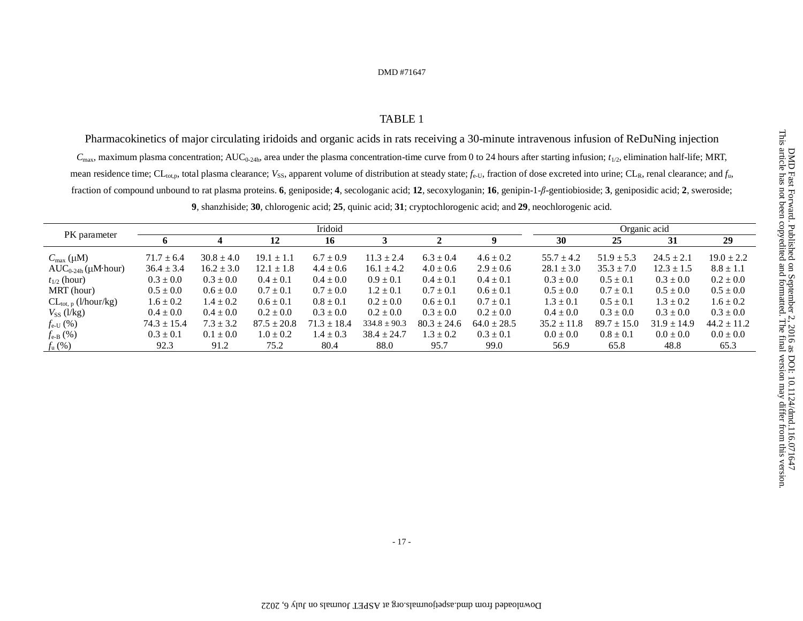### TABLE 1

Pharmacokinetics of major circulating iridoids and organic acids in rats receiving a 30-minute intravenous infusion of ReDuNing injection  $C_{\text{max}}$ , maximum plasma concentration;  $AUC_{0.24h}$ , area under the plasma concentration-time curve from 0 to 24 hours after starting infusion;  $t_{1/2}$ , elimination half-life; MRT, mean residence time; CL<sub>tot,p</sub>, total plasma clearance; *V*<sub>SS</sub>, apparent volume of distribution at steady state; *f*<sub>e-U</sub>, fraction of dose excreted into urine; CL<sub>R</sub>, renal clearance; and *f*<sub>u</sub>, fraction of compound unbound to rat plasma proteins. **6**, geniposide; **4**, secologanic acid; **12**, secoxyloganin; **16**, genipin-1-β-gentiobioside; **3**, geniposidic acid; **2**, sweroside;

**9**, shanzhiside; **30**, chlorogenic acid; **25**, quinic acid; **31**; cryptochlorogenic acid; and **29**, neochlorogenic acid.

|                                    | Iridoid         |                |                 |                 |                  |                 |                 | Organic acid    |                 |                 |                 |  |
|------------------------------------|-----------------|----------------|-----------------|-----------------|------------------|-----------------|-----------------|-----------------|-----------------|-----------------|-----------------|--|
| PK parameter                       | o               | 4              | 12              | 16              |                  |                 |                 | 30              | 25              | 31              | 29              |  |
| $C_{\text{max}}(\mu M)$            | $71.7 \pm 6.4$  | $30.8 \pm 4.0$ | $19.1 \pm 1$    | $6.7 \pm 0.9$   | $11.3 \pm 2.4$   | $6.3 \pm 0.4$   | $4.6 \pm 0.2$   | $55.7 \pm 4.2$  | $51.9 \pm 5.3$  | $24.5 \pm 2.1$  | $19.0 \pm 2.2$  |  |
| $AUC_{0-24h}(\mu M hour)$          | $36.4 \pm 3.4$  | $16.2 \pm 3.0$ | $12.1 \pm 1.8$  | $4.4 \pm 0.6$   | $16.1 \pm 4.2$   | $4.0 \pm 0.6$   | $2.9 \pm 0.6$   | $28.1 \pm 3.0$  | $35.3 \pm 7.0$  | $12.3 \pm 1.5$  | $8.8 \pm 1.1$   |  |
| $t_{1/2}$ (hour)                   | $0.3 \pm 0.0$   | $0.3 \pm 0.0$  | $0.4 \pm 0.1$   | $0.4 \pm 0.0$   | $0.9 \pm 0.1$    | $0.4 \pm 0.1$   | $0.4 \pm 0.1$   | $0.3 \pm 0.0$   | $0.5 \pm 0.1$   | $0.3 \pm 0.0$   | $0.2 \pm 0.0$   |  |
| MRT (hour)                         | $0.5 \pm 0.0$   | $0.6 \pm 0.0$  | $0.7 \pm 0.1$   | $0.7 \pm 0.0$   | $1.2 \pm 0.1$    | $0.7 \pm 0.1$   | $0.6 \pm 0.1$   | $0.5 \pm 0.0$   | $0.7 \pm 0.1$   | $0.5 \pm 0.0$   | $0.5 \pm 0.0$   |  |
| $CL_{tot, p}$ ( <i>l</i> /hour/kg) | $1.6 \pm 0.2$   | $1.4 \pm 0.2$  | $0.6 \pm 0.1$   | $0.8 \pm 0.1$   | $0.2 \pm 0.0$    | $0.6 \pm 0.1$   | $0.7 \pm 0.1$   | $1.3 \pm 0.1$   | $0.5 \pm 0.1$   | $1.3 \pm 0.2$   | $1.6 \pm 0.2$   |  |
| $V_{SS}$ (l/kg)                    | $0.4 \pm 0.0$   | $0.4 \pm 0.0$  | $0.2 \pm 0.0$   | $0.3 \pm 0.0$   | $0.2 \pm 0.0$    | $0.3 \pm 0.0$   | $0.2 \pm 0.0$   | $0.4 \pm 0.0$   | $0.3 \pm 0.0$   | $0.3 \pm 0.0$   | $0.3 \pm 0.0$   |  |
| $f_{e-U}$ (%)                      | $74.3 \pm 15.4$ | $7.3 \pm 3.2$  | $87.5 \pm 20.8$ | $71.3 \pm 18.4$ | $334.8 \pm 90.3$ | $80.3 \pm 24.6$ | $64.0 \pm 28.5$ | $35.2 \pm 11.8$ | $89.7 \pm 15.0$ | $31.9 \pm 14.9$ | $44.2 \pm 11.2$ |  |
| $f_{\text{e-B}}(\%)$               | $0.3 \pm 0.1$   | $0.1 \pm 0.0$  | $1.0 \pm 0.2$   | $1.4 \pm 0.3$   | $38.4 \pm 24.7$  | $1.3 \pm 0.2$   | $0.3 \pm 0.1$   | $0.0 \pm 0.0$   | $0.8 \pm 0.1$   | $0.0 \pm 0.0$   | $0.0 \pm 0.0$   |  |
| $f_{\rm u}$ (%)                    | 92.3            | 91.2           | 75.2            | 80.4            | 88.0             | 95.7            | 99.0            | 56.9            | 65.8            | 48.8            | 65.3            |  |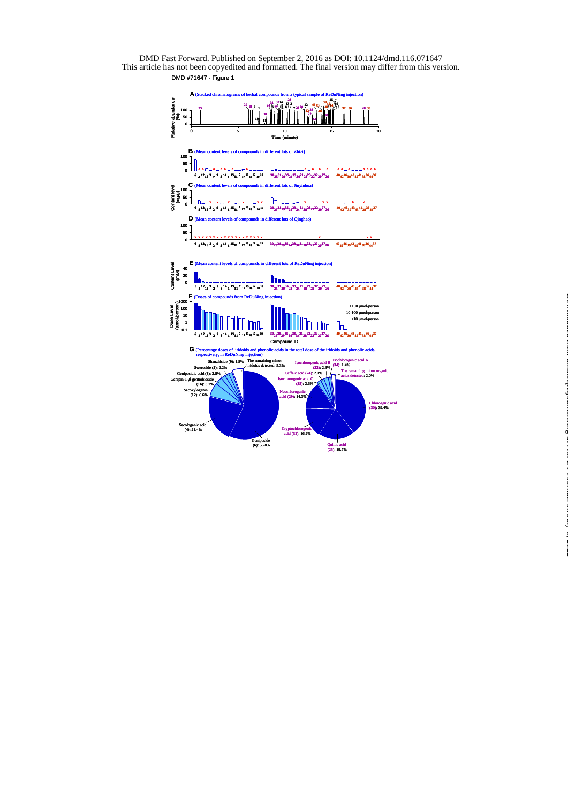

at ASPET Journals on July 6, 2022 [dmd.aspetjournals.org](http://dmd.aspetjournals.org/) Downloaded from

This article has not been copyedited and formatted. The final version may differ from this version. DMD Fast Forward. Published on September 2, 2016 as DOI: 10.1124/dmd.116.071647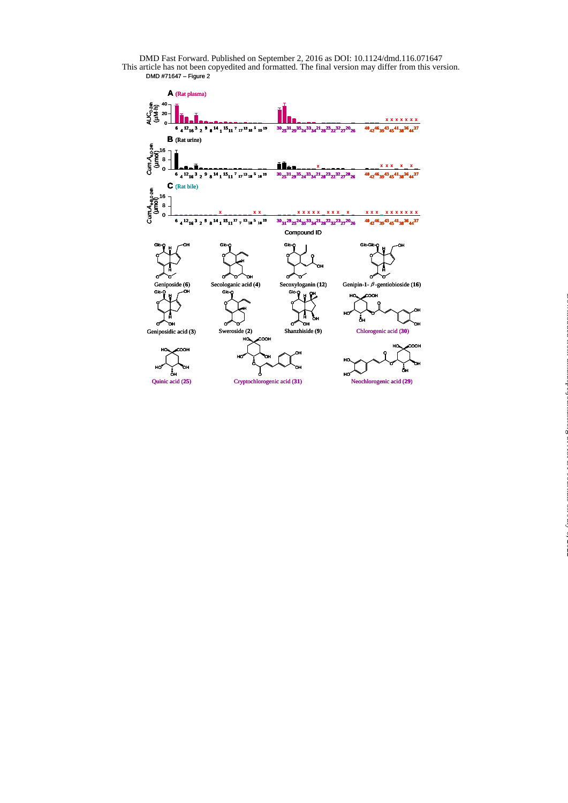DMD #71647 – Figure 2 DMD Fast Forward. Published on September 2, 2016 as DOI: 10.1124/dmd.116.071647



at ASPET Journals on July 6, 2022 [dmd.aspetjournals.org](http://dmd.aspetjournals.org/) Downloaded from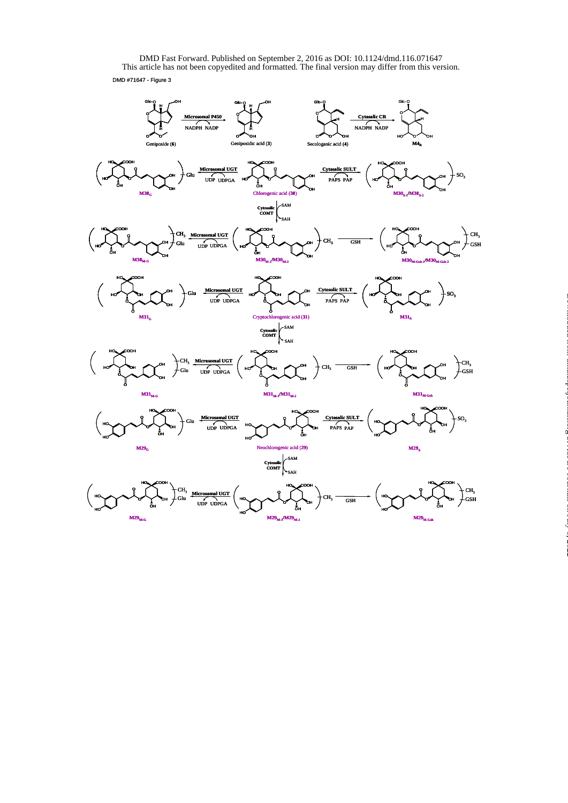DMD #71647 - Figure 3 DMD Fast Forward. Published on September 2, 2016 as DOI: 10.1124/dmd.116.071647<br>This article has not been copyedited and formatted. The final version may differ from this version.



at ASPET Journals on July 6, 2022 [dmd.aspetjournals.org](http://dmd.aspetjournals.org/) Downloaded from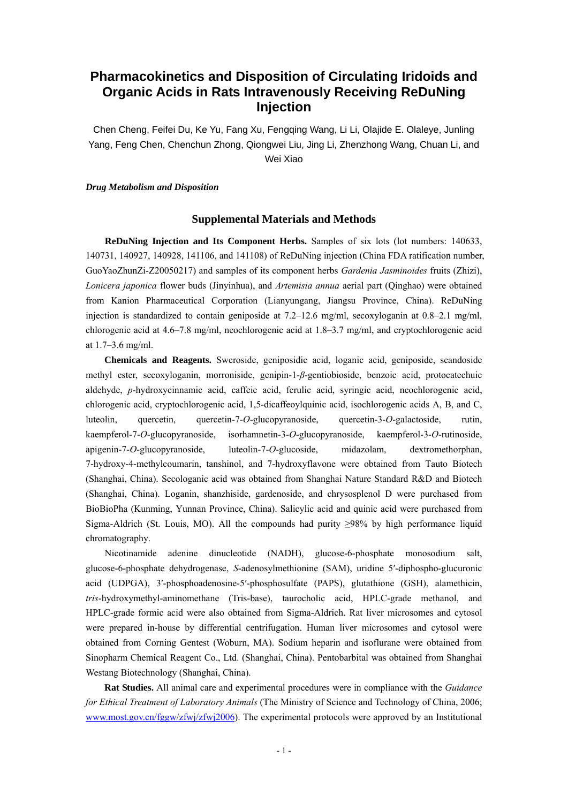# **Pharmacokinetics and Disposition of Circulating Iridoids and Organic Acids in Rats Intravenously Receiving ReDuNing Injection**

Chen Cheng, Feifei Du, Ke Yu, Fang Xu, Fengqing Wang, Li Li, Olajide E. Olaleye, Junling Yang, Feng Chen, Chenchun Zhong, Qiongwei Liu, Jing Li, Zhenzhong Wang, Chuan Li, and Wei Xiao

#### *Drug Metabolism and Disposition*

#### **Supplemental Materials and Methods**

**ReDuNing Injection and Its Component Herbs.** Samples of six lots (lot numbers: 140633, 140731, 140927, 140928, 141106, and 141108) of ReDuNing injection (China FDA ratification number, GuoYaoZhunZi-Z20050217) and samples of its component herbs *Gardenia Jasminoides* fruits (Zhizi), *Lonicera japonica* flower buds (Jinyinhua), and *Artemisia annua* aerial part (Qinghao) were obtained from Kanion Pharmaceutical Corporation (Lianyungang, Jiangsu Province, China). ReDuNing injection is standardized to contain geniposide at  $7.2-12.6$  mg/ml, secoxyloganin at  $0.8-2.1$  mg/ml, chlorogenic acid at 4.6–7.8 mg/ml, neochlorogenic acid at 1.8–3.7 mg/ml, and cryptochlorogenic acid at 1.7–3.6 mg/ml.

**Chemicals and Reagents.** Sweroside, geniposidic acid, loganic acid, geniposide, scandoside methyl ester, secoxyloganin, morroniside, genipin-1-*β*-gentiobioside, benzoic acid, protocatechuic aldehyde, *p*-hydroxycinnamic acid, caffeic acid, ferulic acid, syringic acid, neochlorogenic acid, chlorogenic acid, cryptochlorogenic acid, 1,5-dicaffeoylquinic acid, isochlorogenic acids A, B, and C, luteolin, quercetin, quercetin-7-*O*-glucopyranoside, quercetin-3-*O*-galactoside, rutin, kaempferol-7-*O*-glucopyranoside, isorhamnetin-3-*O*-glucopyranoside, kaempferol-3-*O*-rutinoside, apigenin-7-*O*-glucopyranoside, luteolin-7-*O*-glucoside, midazolam, dextromethorphan, 7-hydroxy-4-methylcoumarin, tanshinol, and 7-hydroxyflavone were obtained from Tauto Biotech (Shanghai, China). Secologanic acid was obtained from Shanghai Nature Standard R&D and Biotech (Shanghai, China). Loganin, shanzhiside, gardenoside, and chrysosplenol D were purchased from BioBioPha (Kunming, Yunnan Province, China). Salicylic acid and quinic acid were purchased from Sigma-Aldrich (St. Louis, MO). All the compounds had purity ≥98% by high performance liquid chromatography.

Nicotinamide adenine dinucleotide (NADH), glucose-6-phosphate monosodium salt, glucose-6-phosphate dehydrogenase, *S*-adenosylmethionine (SAM), uridine 5′-diphospho-glucuronic acid (UDPGA), 3′-phosphoadenosine-5′-phosphosulfate (PAPS), glutathione (GSH), alamethicin, *tris*-hydroxymethyl-aminomethane (Tris-base), taurocholic acid, HPLC-grade methanol, and HPLC-grade formic acid were also obtained from Sigma-Aldrich. Rat liver microsomes and cytosol were prepared in-house by differential centrifugation. Human liver microsomes and cytosol were obtained from Corning Gentest (Woburn, MA). Sodium heparin and isoflurane were obtained from Sinopharm Chemical Reagent Co., Ltd. (Shanghai, China). Pentobarbital was obtained from Shanghai Westang Biotechnology (Shanghai, China).

**Rat Studies.** All animal care and experimental procedures were in compliance with the *Guidance for Ethical Treatment of Laboratory Animals* (The Ministry of Science and Technology of China, 2006; www.most.gov.cn/fggw/zfwj/zfwj2006). The experimental protocols were approved by an Institutional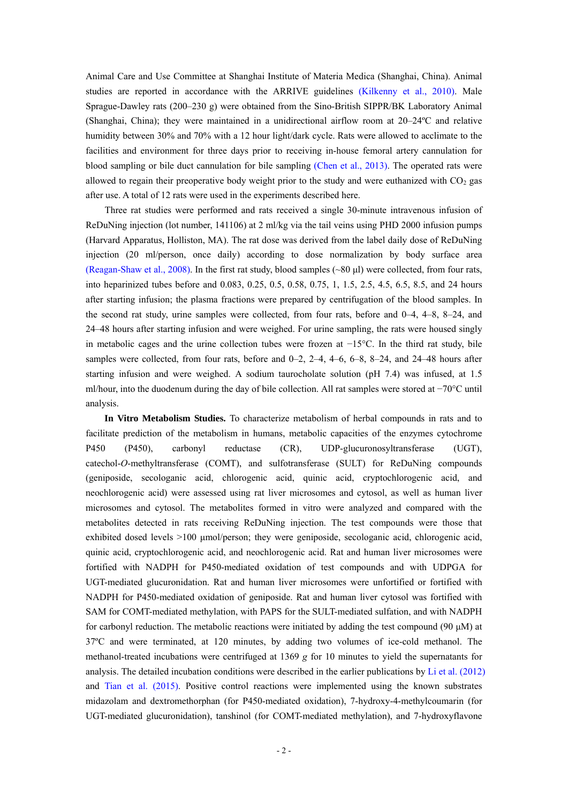Animal Care and Use Committee at Shanghai Institute of Materia Medica (Shanghai, China). Animal studies are reported in accordance with the ARRIVE guidelines (Kilkenny et al., 2010). Male Sprague-Dawley rats (200–230 g) were obtained from the Sino-British SIPPR/BK Laboratory Animal (Shanghai, China); they were maintained in a unidirectional airflow room at 20–24ºC and relative humidity between 30% and 70% with a 12 hour light/dark cycle. Rats were allowed to acclimate to the facilities and environment for three days prior to receiving in-house femoral artery cannulation for blood sampling or bile duct cannulation for bile sampling (Chen et al., 2013). The operated rats were allowed to regain their preoperative body weight prior to the study and were euthanized with  $CO<sub>2</sub>$  gas after use. A total of 12 rats were used in the experiments described here.

Three rat studies were performed and rats received a single 30-minute intravenous infusion of ReDuNing injection (lot number, 141106) at 2 ml/kg via the tail veins using PHD 2000 infusion pumps (Harvard Apparatus, Holliston, MA). The rat dose was derived from the label daily dose of ReDuNing injection (20 ml/person, once daily) according to dose normalization by body surface area (Reagan-Shaw et al., 2008). In the first rat study, blood samples (~80 μl) were collected, from four rats, into heparinized tubes before and 0.083, 0.25, 0.5, 0.58, 0.75, 1, 1.5, 2.5, 4.5, 6.5, 8.5, and 24 hours after starting infusion; the plasma fractions were prepared by centrifugation of the blood samples. In the second rat study, urine samples were collected, from four rats, before and 0–4, 4–8, 8–24, and 24–48 hours after starting infusion and were weighed. For urine sampling, the rats were housed singly in metabolic cages and the urine collection tubes were frozen at −15°C. In the third rat study, bile samples were collected, from four rats, before and 0-2, 2-4, 4-6, 6-8, 8-24, and 24-48 hours after starting infusion and were weighed. A sodium taurocholate solution (pH 7.4) was infused, at 1.5 ml/hour, into the duodenum during the day of bile collection. All rat samples were stored at −70°C until analysis.

**In Vitro Metabolism Studies.** To characterize metabolism of herbal compounds in rats and to facilitate prediction of the metabolism in humans, metabolic capacities of the enzymes cytochrome P450 (P450), carbonyl reductase (CR), UDP-glucuronosyltransferase (UGT), catechol-*O*-methyltransferase (COMT), and sulfotransferase (SULT) for ReDuNing compounds (geniposide, secologanic acid, chlorogenic acid, quinic acid, cryptochlorogenic acid, and neochlorogenic acid) were assessed using rat liver microsomes and cytosol, as well as human liver microsomes and cytosol. The metabolites formed in vitro were analyzed and compared with the metabolites detected in rats receiving ReDuNing injection. The test compounds were those that exhibited dosed levels >100 μmol/person; they were geniposide, secologanic acid, chlorogenic acid, quinic acid, cryptochlorogenic acid, and neochlorogenic acid. Rat and human liver microsomes were fortified with NADPH for P450-mediated oxidation of test compounds and with UDPGA for UGT-mediated glucuronidation. Rat and human liver microsomes were unfortified or fortified with NADPH for P450-mediated oxidation of geniposide. Rat and human liver cytosol was fortified with SAM for COMT-mediated methylation, with PAPS for the SULT-mediated sulfation, and with NADPH for carbonyl reduction. The metabolic reactions were initiated by adding the test compound (90 μM) at 37ºC and were terminated, at 120 minutes, by adding two volumes of ice-cold methanol. The methanol-treated incubations were centrifuged at 1369 *g* for 10 minutes to yield the supernatants for analysis. The detailed incubation conditions were described in the earlier publications by Li et al. (2012) and Tian et al. (2015). Positive control reactions were implemented using the known substrates midazolam and dextromethorphan (for P450-mediated oxidation), 7-hydroxy-4-methylcoumarin (for UGT-mediated glucuronidation), tanshinol (for COMT-mediated methylation), and 7-hydroxyflavone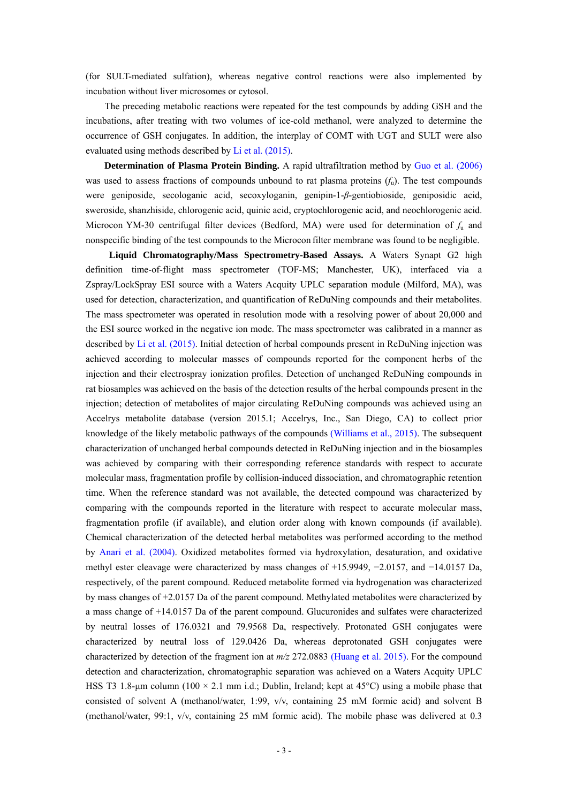(for SULT-mediated sulfation), whereas negative control reactions were also implemented by incubation without liver microsomes or cytosol.

The preceding metabolic reactions were repeated for the test compounds by adding GSH and the incubations, after treating with two volumes of ice-cold methanol, were analyzed to determine the occurrence of GSH conjugates. In addition, the interplay of COMT with UGT and SULT were also evaluated using methods described by Li et al. (2015).

**Determination of Plasma Protein Binding.** A rapid ultrafiltration method by Guo et al. (2006) was used to assess fractions of compounds unbound to rat plasma proteins (*f*u). The test compounds were geniposide, secologanic acid, secoxyloganin, genipin-1-*β*-gentiobioside, geniposidic acid, sweroside, shanzhiside, chlorogenic acid, quinic acid, cryptochlorogenic acid, and neochlorogenic acid. Microcon YM-30 centrifugal filter devices (Bedford, MA) were used for determination of  $f<sub>u</sub>$  and nonspecific binding of the test compounds to the Microcon filter membrane was found to be negligible.

**Liquid Chromatography/Mass Spectrometry-Based Assays.** A Waters Synapt G2 high definition time-of-flight mass spectrometer (TOF-MS; Manchester, UK), interfaced via a Zspray/LockSpray ESI source with a Waters Acquity UPLC separation module (Milford, MA), was used for detection, characterization, and quantification of ReDuNing compounds and their metabolites. The mass spectrometer was operated in resolution mode with a resolving power of about 20,000 and the ESI source worked in the negative ion mode. The mass spectrometer was calibrated in a manner as described by Li et al. (2015). Initial detection of herbal compounds present in ReDuNing injection was achieved according to molecular masses of compounds reported for the component herbs of the injection and their electrospray ionization profiles. Detection of unchanged ReDuNing compounds in rat biosamples was achieved on the basis of the detection results of the herbal compounds present in the injection; detection of metabolites of major circulating ReDuNing compounds was achieved using an Accelrys metabolite database (version 2015.1; Accelrys, Inc., San Diego, CA) to collect prior knowledge of the likely metabolic pathways of the compounds (Williams et al., 2015). The subsequent characterization of unchanged herbal compounds detected in ReDuNing injection and in the biosamples was achieved by comparing with their corresponding reference standards with respect to accurate molecular mass, fragmentation profile by collision-induced dissociation, and chromatographic retention time. When the reference standard was not available, the detected compound was characterized by comparing with the compounds reported in the literature with respect to accurate molecular mass, fragmentation profile (if available), and elution order along with known compounds (if available). Chemical characterization of the detected herbal metabolites was performed according to the method by Anari et al. (2004). Oxidized metabolites formed via hydroxylation, desaturation, and oxidative methyl ester cleavage were characterized by mass changes of +15.9949, −2.0157, and −14.0157 Da, respectively, of the parent compound. Reduced metabolite formed via hydrogenation was characterized by mass changes of +2.0157 Da of the parent compound. Methylated metabolites were characterized by a mass change of +14.0157 Da of the parent compound. Glucuronides and sulfates were characterized by neutral losses of 176.0321 and 79.9568 Da, respectively. Protonated GSH conjugates were characterized by neutral loss of 129.0426 Da, whereas deprotonated GSH conjugates were characterized by detection of the fragment ion at *m/z* 272.0883 (Huang et al. 2015). For the compound detection and characterization, chromatographic separation was achieved on a Waters Acquity UPLC HSS T3 1.8-µm column (100  $\times$  2.1 mm i.d.; Dublin, Ireland; kept at 45°C) using a mobile phase that consisted of solvent A (methanol/water, 1:99, v/v, containing 25 mM formic acid) and solvent B (methanol/water, 99:1, v/v, containing 25 mM formic acid). The mobile phase was delivered at 0.3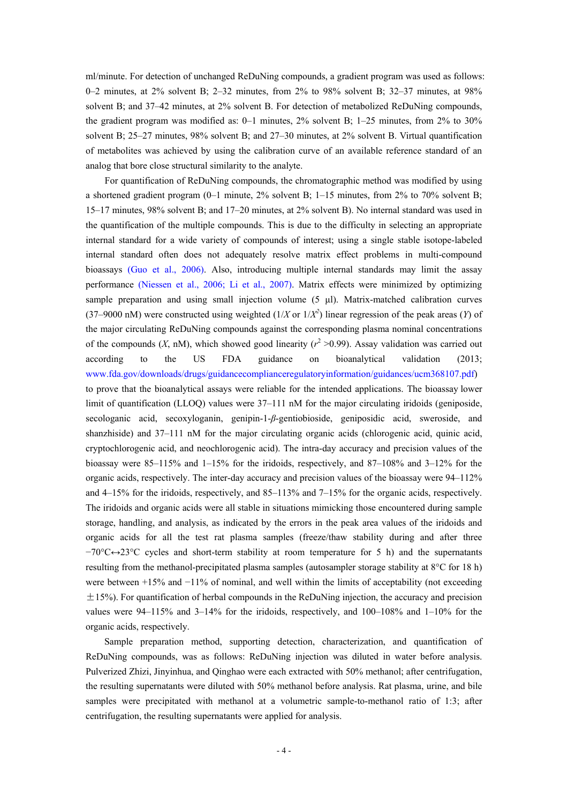ml/minute. For detection of unchanged ReDuNing compounds, a gradient program was used as follows: 0–2 minutes, at 2% solvent B; 2–32 minutes, from 2% to 98% solvent B; 32–37 minutes, at 98% solvent B; and 37–42 minutes, at 2% solvent B. For detection of metabolized ReDuNing compounds, the gradient program was modified as: 0–1 minutes, 2% solvent B; 1–25 minutes, from 2% to 30% solvent B; 25–27 minutes, 98% solvent B; and 27–30 minutes, at 2% solvent B. Virtual quantification of metabolites was achieved by using the calibration curve of an available reference standard of an analog that bore close structural similarity to the analyte.

For quantification of ReDuNing compounds, the chromatographic method was modified by using a shortened gradient program (0–1 minute, 2% solvent B; 1–15 minutes, from 2% to 70% solvent B; 15–17 minutes, 98% solvent B; and 17–20 minutes, at 2% solvent B). No internal standard was used in the quantification of the multiple compounds. This is due to the difficulty in selecting an appropriate internal standard for a wide variety of compounds of interest; using a single stable isotope-labeled internal standard often does not adequately resolve matrix effect problems in multi-compound bioassays (Guo et al., 2006). Also, introducing multiple internal standards may limit the assay performance (Niessen et al., 2006; Li et al., 2007). Matrix effects were minimized by optimizing sample preparation and using small injection volume (5 μl). Matrix-matched calibration curves (37–9000 nM) were constructed using weighted ( $1/X$  or  $1/X^2$ ) linear regression of the peak areas (*Y*) of the major circulating ReDuNing compounds against the corresponding plasma nominal concentrations of the compounds  $(X, nM)$ , which showed good linearity  $(r^2 > 0.99)$ . Assay validation was carried out according to the US FDA guidance on bioanalytical validation (2013; www.fda.gov/downloads/drugs/guidancecomplianceregulatoryinformation/guidances/ucm368107.pdf) to prove that the bioanalytical assays were reliable for the intended applications. The bioassay lower limit of quantification (LLOQ) values were  $37-111 \text{ nM}$  for the major circulating iridoids (geniposide, secologanic acid, secoxyloganin, genipin-1-*β*-gentiobioside, geniposidic acid, sweroside, and shanzhiside) and 37–111 nM for the major circulating organic acids (chlorogenic acid, quinic acid, cryptochlorogenic acid, and neochlorogenic acid). The intra-day accuracy and precision values of the bioassay were 85–115% and 1–15% for the iridoids, respectively, and 87–108% and 3–12% for the organic acids, respectively. The inter-day accuracy and precision values of the bioassay were 94–112% and 4–15% for the iridoids, respectively, and 85–113% and 7–15% for the organic acids, respectively. The iridoids and organic acids were all stable in situations mimicking those encountered during sample storage, handling, and analysis, as indicated by the errors in the peak area values of the iridoids and organic acids for all the test rat plasma samples (freeze/thaw stability during and after three −70°C↔23°C cycles and short-term stability at room temperature for 5 h) and the supernatants resulting from the methanol-precipitated plasma samples (autosampler storage stability at 8°C for 18 h) were between +15% and −11% of nominal, and well within the limits of acceptability (not exceeding  $\pm$ 15%). For quantification of herbal compounds in the ReDuNing injection, the accuracy and precision values were 94–115% and  $3-14\%$  for the iridoids, respectively, and  $100-108\%$  and  $1-10\%$  for the organic acids, respectively.

Sample preparation method, supporting detection, characterization, and quantification of ReDuNing compounds, was as follows: ReDuNing injection was diluted in water before analysis. Pulverized Zhizi, Jinyinhua, and Qinghao were each extracted with 50% methanol; after centrifugation, the resulting supernatants were diluted with 50% methanol before analysis. Rat plasma, urine, and bile samples were precipitated with methanol at a volumetric sample-to-methanol ratio of 1:3; after centrifugation, the resulting supernatants were applied for analysis.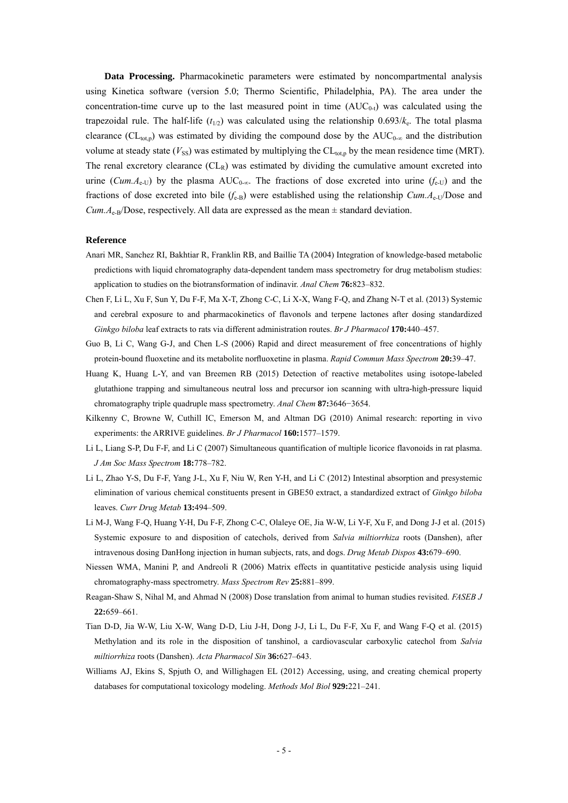**Data Processing.** Pharmacokinetic parameters were estimated by noncompartmental analysis using Kinetica software (version 5.0; Thermo Scientific, Philadelphia, PA). The area under the concentration-time curve up to the last measured point in time  $(AUC_{0-t})$  was calculated using the trapezoidal rule. The half-life  $(t_{1/2})$  was calculated using the relationship  $0.693/k<sub>e</sub>$ . The total plasma clearance ( $CL_{tot,p}$ ) was estimated by dividing the compound dose by the  $AUC_{0-\infty}$  and the distribution volume at steady state  $(V_{SS})$  was estimated by multiplying the  $CL_{tot,p}$  by the mean residence time (MRT). The renal excretory clearance  $CL<sub>R</sub>$ ) was estimated by dividing the cumulative amount excreted into urine (*Cum.A*<sub>e-U</sub>) by the plasma AUC<sub>0-∞</sub>. The fractions of dose excreted into urine ( $f_{e-U}$ ) and the fractions of dose excreted into bile  $(f_{e-B})$  were established using the relationship *Cum.A*<sub>e-U</sub>/Dose and *Cum.A*<sub>e-B</sub>/Dose, respectively. All data are expressed as the mean  $\pm$  standard deviation.

#### **Reference**

- Anari MR, Sanchez RI, Bakhtiar R, Franklin RB, and Baillie TA (2004) Integration of knowledge-based metabolic predictions with liquid chromatography data-dependent tandem mass spectrometry for drug metabolism studies: application to studies on the biotransformation of indinavir. *Anal Chem* **76:**823–832.
- Chen F, Li L, Xu F, Sun Y, Du F-F, Ma X-T, Zhong C-C, Li X-X, Wang F-Q, and Zhang N-T et al. (2013) Systemic and cerebral exposure to and pharmacokinetics of flavonols and terpene lactones after dosing standardized *Ginkgo biloba* leaf extracts to rats via different administration routes. *Br J Pharmacol* **170:**440–457.
- Guo B, Li C, Wang G-J, and Chen L-S (2006) Rapid and direct measurement of free concentrations of highly protein-bound fluoxetine and its metabolite norfluoxetine in plasma. *Rapid Commun Mass Spectrom* **20:**39–47.
- Huang K, Huang L-Y, and van Breemen RB (2015) Detection of reactive metabolites using isotope-labeled glutathione trapping and simultaneous neutral loss and precursor ion scanning with ultra-high-pressure liquid chromatography triple quadruple mass spectrometry. *Anal Chem* **87:**3646−3654.
- Kilkenny C, Browne W, Cuthill IC, Emerson M, and Altman DG (2010) Animal research: reporting in vivo experiments: the ARRIVE guidelines. *Br J Pharmacol* **160:**1577–1579.
- Li L, Liang S-P, Du F-F, and Li C (2007) Simultaneous quantification of multiple licorice flavonoids in rat plasma. *J Am Soc Mass Spectrom* **18:**778–782.
- Li L, Zhao Y-S, Du F-F, Yang J-L, Xu F, Niu W, Ren Y-H, and Li C (2012) Intestinal absorption and presystemic elimination of various chemical constituents present in GBE50 extract, a standardized extract of *Ginkgo biloba* leaves. *Curr Drug Metab* **13:**494–509.
- Li M-J, Wang F-Q, Huang Y-H, Du F-F, Zhong C-C, Olaleye OE, Jia W-W, Li Y-F, Xu F, and Dong J-J et al. (2015) Systemic exposure to and disposition of catechols, derived from *Salvia miltiorrhiza* roots (Danshen), after intravenous dosing DanHong injection in human subjects, rats, and dogs. *Drug Metab Dispos* **43:**679–690.
- Niessen WMA, Manini P, and Andreoli R (2006) Matrix effects in quantitative pesticide analysis using liquid chromatography-mass spectrometry. *Mass Spectrom Rev* **25:**881–899.
- Reagan-Shaw S, Nihal M, and Ahmad N (2008) Dose translation from animal to human studies revisited. *FASEB J*  **22:**659–661.
- Tian D-D, Jia W-W, Liu X-W, Wang D-D, Liu J-H, Dong J-J, Li L, Du F-F, Xu F, and Wang F-Q et al. (2015) Methylation and its role in the disposition of tanshinol, a cardiovascular carboxylic catechol from *Salvia miltiorrhiza* roots (Danshen). *Acta Pharmacol Sin* **36:**627–643.
- Williams AJ, Ekins S, Spjuth O, and Willighagen EL (2012) Accessing, using, and creating chemical property databases for computational toxicology modeling. *Methods Mol Biol* **929:**221–241.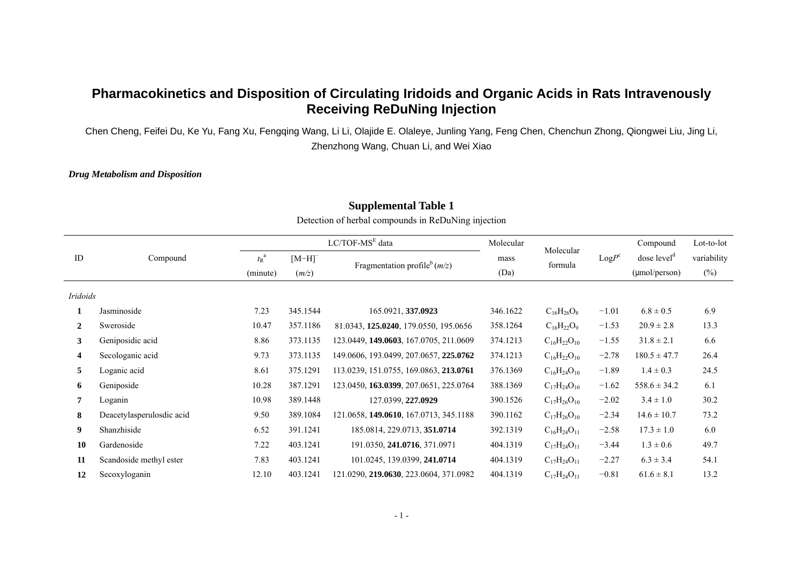# **Pharmacokinetics and Disposition of Circulating Iridoids and Organic Acids in Rats Intravenously Receiving ReDuNing Injection**

Chen Cheng, Feifei Du, Ke Yu, Fang Xu, Fengqing Wang, Li Li, Olajide E. Olaleye, Junling Yang, Feng Chen, Chenchun Zhong, Qiongwei Liu, Jing Li, Zhenzhong Wang, Chuan Li, and Wei Xiao

### *Drug Metabolism and Disposition*

|                |                           |                     |                      | $LC/TOF-MSE data$                      | Molecular |                      | $LogP^c$ | Compound                | Lot-to-lot  |
|----------------|---------------------------|---------------------|----------------------|----------------------------------------|-----------|----------------------|----------|-------------------------|-------------|
| ID             | Compound                  | $t_{\rm R}^{\rm a}$ | $[M-H]$ <sup>-</sup> |                                        | mass      | Molecular<br>formula |          | dose level <sup>d</sup> | variability |
|                |                           | (minute)            | (m/z)                | Fragmentation profile $(m/z)$          | (Da)      |                      |          | $(\mu$ mol/person)      | $(\%)$      |
| Iridoids       |                           |                     |                      |                                        |           |                      |          |                         |             |
| 1              | Jasminoside               | 7.23                | 345.1544             | 165.0921, 337.0923                     | 346.1622  | $C_{16}H_{26}O_8$    | $-1.01$  | $6.8 \pm 0.5$           | 6.9         |
| $\overline{2}$ | Sweroside                 | 10.47               | 357.1186             | 81.0343, 125.0240, 179.0550, 195.0656  | 358.1264  | $C_{16}H_{22}O_9$    | $-1.53$  | $20.9 \pm 2.8$          | 13.3        |
| 3 <sup>1</sup> | Geniposidic acid          | 8.86                | 373.1135             | 123.0449, 149.0603, 167.0705, 211.0609 | 374.1213  | $C_{16}H_{22}O_{10}$ | $-1.55$  | $31.8 \pm 2.1$          | 6.6         |
| 4              | Secologanic acid          | 9.73                | 373.1135             | 149.0606, 193.0499, 207.0657, 225.0762 | 374.1213  | $C_{16}H_{22}O_{10}$ | $-2.78$  | $180.5 \pm 47.7$        | 26.4        |
| 5              | Loganic acid              | 8.61                | 375.1291             | 113.0239, 151.0755, 169.0863, 213.0761 | 376.1369  | $C_{16}H_{24}O_{10}$ | $-1.89$  | $1.4 \pm 0.3$           | 24.5        |
| 6              | Geniposide                | 10.28               | 387.1291             | 123.0450, 163.0399, 207.0651, 225.0764 | 388.1369  | $C_{17}H_{24}O_{10}$ | $-1.62$  | $558.6 \pm 34.2$        | 6.1         |
| 7              | Loganin                   | 10.98               | 389.1448             | 127.0399, 227.0929                     | 390.1526  | $C_{17}H_{26}O_{10}$ | $-2.02$  | $3.4 \pm 1.0$           | 30.2        |
| 8              | Deacetylasperulosdic acid | 9.50                | 389.1084             | 121.0658, 149.0610, 167.0713, 345.1188 | 390.1162  | $C_{17}H_{26}O_{10}$ | $-2.34$  | $14.6 \pm 10.7$         | 73.2        |
| 9              | Shanzhiside               | 6.52                | 391.1241             | 185.0814, 229.0713, 351.0714           | 392.1319  | $C_{16}H_{24}O_{11}$ | $-2.58$  | $17.3 \pm 1.0$          | 6.0         |
| 10             | Gardenoside               | 7.22                | 403.1241             | 191.0350, 241.0716, 371.0971           | 404.1319  | $C_{17}H_{24}O_{11}$ | $-3.44$  | $1.3 \pm 0.6$           | 49.7        |
| 11             | Scandoside methyl ester   | 7.83                | 403.1241             | 101.0245, 139.0399, 241.0714           | 404.1319  | $C_{17}H_{24}O_{11}$ | $-2.27$  | $6.3 \pm 3.4$           | 54.1        |
| 12             | Secoxyloganin             | 12.10               | 403.1241             | 121.0290, 219.0630, 223.0604, 371.0982 | 404.1319  | $C_{17}H_{24}O_{11}$ | $-0.81$  | $61.6 \pm 8.1$          | 13.2        |

# **Supplemental Table 1**

Detection of herbal compounds in ReDuNing injection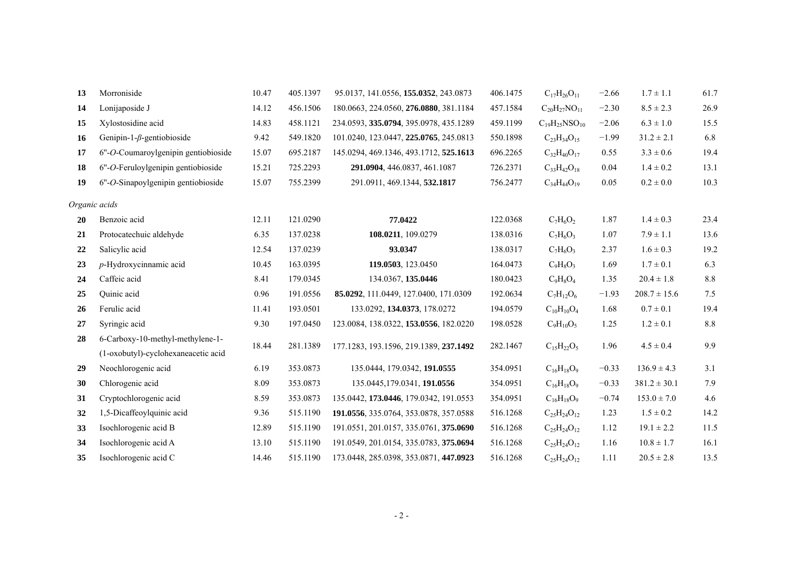| 13 | Morroniside                                                             | 10.47 | 405.1397 | 95.0137, 141.0556, 155.0352, 243.0873  | 406.1475 | $C_{17}H_{26}O_{11}$   | $-2.66$ | $1.7 \pm 1.1$    | 61.7    |
|----|-------------------------------------------------------------------------|-------|----------|----------------------------------------|----------|------------------------|---------|------------------|---------|
| 14 | Lonijaposide J                                                          | 14.12 | 456.1506 | 180.0663, 224.0560, 276.0880, 381.1184 | 457.1584 | $C_{20}H_{27}NO_{11}$  | $-2.30$ | $8.5 \pm 2.3$    | 26.9    |
| 15 | Xylostosidine acid                                                      | 14.83 | 458.1121 | 234.0593, 335.0794, 395.0978, 435.1289 | 459.1199 | $C_{19}H_{25}NSO_{10}$ | $-2.06$ | $6.3 \pm 1.0$    | 15.5    |
| 16 | Genipin-1- $\beta$ -gentiobioside                                       | 9.42  | 549.1820 | 101.0240, 123.0447, 225.0765, 245.0813 | 550.1898 | $C_{23}H_{34}O_{15}$   | $-1.99$ | $31.2 \pm 2.1$   | 6.8     |
| 17 | $6"$ - $O$ -Coumaroylgenipin gentiobioside                              | 15.07 | 695.2187 | 145.0294, 469.1346, 493.1712, 525.1613 | 696.2265 | $C_{32}H_{40}O_{17}$   | 0.55    | $3.3 \pm 0.6$    | 19.4    |
| 18 | 6"-O-Feruloylgenipin gentiobioside                                      | 15.21 | 725.2293 | 291.0904, 446.0837, 461.1087           | 726.2371 | $C_{33}H_{42}O_{18}$   | 0.04    | $1.4 \pm 0.2$    | 13.1    |
| 19 | 6"-O-Sinapoylgenipin gentiobioside                                      | 15.07 | 755.2399 | 291.0911, 469.1344, 532.1817           | 756.2477 | $C_{34}H_{44}O_{19}$   | 0.05    | $0.2\pm0.0$      | 10.3    |
|    | Organic acids                                                           |       |          |                                        |          |                        |         |                  |         |
| 20 | Benzoic acid                                                            | 12.11 | 121.0290 | 77.0422                                | 122.0368 | $C_7H_6O_2$            | 1.87    | $1.4 \pm 0.3$    | 23.4    |
| 21 | Protocatechuic aldehyde                                                 | 6.35  | 137.0238 | 108.0211, 109.0279                     | 138.0316 | $C_7H_6O_3$            | 1.07    | $7.9 \pm 1.1$    | 13.6    |
| 22 | Salicylic acid                                                          | 12.54 | 137.0239 | 93.0347                                | 138.0317 | $C_7H_6O_3$            | 2.37    | $1.6 \pm 0.3$    | 19.2    |
| 23 | $p$ -Hydroxycinnamic acid                                               | 10.45 | 163.0395 | 119.0503, 123.0450                     | 164.0473 | $C_9H_8O_3$            | 1.69    | $1.7 \pm 0.1$    | 6.3     |
| 24 | Caffeic acid                                                            | 8.41  | 179.0345 | 134.0367, 135.0446                     | 180.0423 | $C_9H_8O_4$            | 1.35    | $20.4 \pm 1.8$   | $8.8\,$ |
| 25 | Quinic acid                                                             | 0.96  | 191.0556 | 85.0292, 111.0449, 127.0400, 171.0309  | 192.0634 | $C_7H_{12}O_6$         | $-1.93$ | $208.7 \pm 15.6$ | 7.5     |
| 26 | Ferulic acid                                                            | 11.41 | 193.0501 | 133.0292, 134.0373, 178.0272           | 194.0579 | $C_{10}H_{10}O_4$      | 1.68    | $0.7 \pm 0.1$    | 19.4    |
| 27 | Syringic acid                                                           | 9.30  | 197.0450 | 123.0084, 138.0322, 153.0556, 182.0220 | 198.0528 | $C_9H_{10}O_5$         | 1.25    | $1.2 \pm 0.1$    | $8.8\,$ |
| 28 | 6-Carboxy-10-methyl-methylene-1-<br>(1-oxobutyl)-cyclohexaneacetic acid | 18.44 | 281.1389 | 177.1283, 193.1596, 219.1389, 237.1492 | 282.1467 | $C_{15}H_{22}O_5$      | 1.96    | $4.5 \pm 0.4$    | 9.9     |
| 29 | Neochlorogenic acid                                                     | 6.19  | 353.0873 | 135.0444, 179.0342, 191.0555           | 354.0951 | $C_{16}H_{18}O_9$      | $-0.33$ | $136.9 \pm 4.3$  | 3.1     |
| 30 | Chlorogenic acid                                                        | 8.09  | 353.0873 | 135.0445,179.0341, 191.0556            | 354.0951 | $C_{16}H_{18}O_9$      | $-0.33$ | $381.2 \pm 30.1$ | 7.9     |
| 31 | Cryptochlorogenic acid                                                  | 8.59  | 353.0873 | 135.0442, 173.0446, 179.0342, 191.0553 | 354.0951 | $C_{16}H_{18}O_9$      | $-0.74$ | $153.0 \pm 7.0$  | 4.6     |
| 32 | 1,5-Dicaffeoylquinic acid                                               | 9.36  | 515.1190 | 191.0556, 335.0764, 353.0878, 357.0588 | 516.1268 | $C_{25}H_{24}O_{12}$   | 1.23    | $1.5 \pm 0.2$    | 14.2    |
| 33 | Isochlorogenic acid B                                                   | 12.89 | 515.1190 | 191.0551, 201.0157, 335.0761, 375.0690 | 516.1268 | $C_{25}H_{24}O_{12}$   | 1.12    | $19.1 \pm 2.2$   | 11.5    |
| 34 | Isochlorogenic acid A                                                   | 13.10 | 515.1190 | 191.0549, 201.0154, 335.0783, 375.0694 | 516.1268 | $C_{25}H_{24}O_{12}$   | 1.16    | $10.8 \pm 1.7$   | 16.1    |
| 35 | Isochlorogenic acid C                                                   | 14.46 | 515.1190 | 173.0448, 285.0398, 353.0871, 447.0923 | 516.1268 | $C_{25}H_{24}O_{12}$   | 1.11    | $20.5 \pm 2.8$   | 13.5    |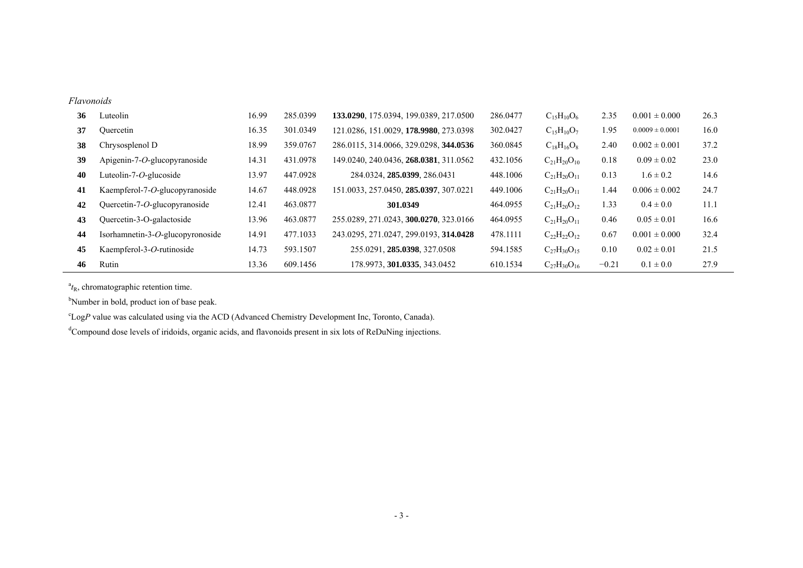#### *Flavonoids*

| 36 | Luteolin                         | 16.99 | 285.0399 | 133.0290, 175.0394, 199.0389, 217.0500 | 286,0477 | $C_{15}H_{10}O_6$    | 2.35    | $0.001 \pm 0.000$   | 26.3 |
|----|----------------------------------|-------|----------|----------------------------------------|----------|----------------------|---------|---------------------|------|
| 37 | Quercetin                        | 16.35 | 301.0349 | 121.0286, 151.0029, 178.9980, 273.0398 | 302.0427 | $C_{15}H_{10}O_7$    | 1.95    | $0.0009 \pm 0.0001$ | 16.0 |
| 38 | Chrysosplenol D                  | 18.99 | 359,0767 | 286.0115, 314.0066, 329.0298, 344.0536 | 360.0845 | $C_{18}H_{16}O_8$    | 2.40    | $0.002 \pm 0.001$   | 37.2 |
| 39 | Apigenin-7- $O$ -glucopyranoside | 14.31 | 431.0978 | 149.0240, 240.0436, 268.0381, 311.0562 | 432.1056 | $C_{21}H_{20}O_{10}$ | 0.18    | $0.09 \pm 0.02$     | 23.0 |
| 40 | Luteolin-7-O-glucoside           | 13.97 | 447.0928 | 284.0324, 285.0399, 286.0431           | 448.1006 | $C_{21}H_{20}O_{11}$ | 0.13    | $1.6 \pm 0.2$       | 14.6 |
| 41 | Kaempferol-7-O-glucopyranoside   | 14.67 | 448.0928 | 151.0033, 257.0450, 285.0397, 307.0221 | 449.1006 | $C_{21}H_{20}O_{11}$ | 1.44    | $0.006 \pm 0.002$   | 24.7 |
| 42 | Quercetin-7-O-glucopyranoside    | 12.41 | 463.0877 | 301.0349                               | 464.0955 | $C_{21}H_{20}O_{12}$ | 1.33    | $0.4 \pm 0.0$       | 11.1 |
| 43 | Quercetin-3-O-galactoside        | 13.96 | 463.0877 | 255.0289, 271.0243, 300.0270, 323.0166 | 464.0955 | $C_{21}H_{20}O_{11}$ | 0.46    | $0.05 \pm 0.01$     | 16.6 |
| 44 | Isorhamnetin-3-O-glucopyronoside | 14.91 | 477.1033 | 243.0295, 271.0247, 299.0193, 314.0428 | 478.1111 | $C_{22}H_{22}O_{12}$ | 0.67    | $0.001 \pm 0.000$   | 32.4 |
| 45 | Kaempferol-3-O-rutinoside        | 14.73 | 593.1507 | 255.0291, 285.0398, 327.0508           | 594.1585 | $C_{27}H_{30}O_{15}$ | 0.10    | $0.02 \pm 0.01$     | 21.5 |
| 46 | Rutin                            | 13.36 | 609.1456 | 178.9973, 301.0335, 343.0452           | 610.1534 | $C_{27}H_{30}O_{16}$ | $-0.21$ | $0.1 \pm 0.0$       | 27.9 |

 $a_{t_R}$ , chromatographic retention time.

<sup>b</sup>Number in bold, product ion of base peak.

<sup>c</sup>LogP value was calculated using via the ACD (Advanced Chemistry Development Inc, Toronto, Canada).

<sup>d</sup>Compound dose levels of iridoids, organic acids, and flavonoids present in six lots of ReDuNing injections.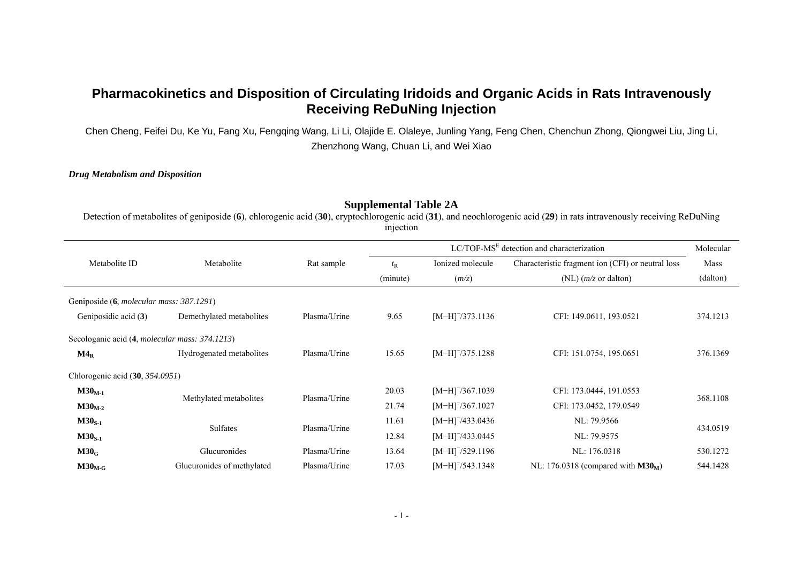# **Pharmacokinetics and Disposition of Circulating Iridoids and Organic Acids in Rats Intravenously Receiving ReDuNing Injection**

Chen Cheng, Feifei Du, Ke Yu, Fang Xu, Fengqing Wang, Li Li, Olajide E. Olaleye, Junling Yang, Feng Chen, Chenchun Zhong, Qiongwei Liu, Jing Li, Zhenzhong Wang, Chuan Li, and Wei Xiao

### *Drug Metabolism and Disposition*

### **Supplemental Table 2A**

Detection of metabolites of geniposide (**6**), chlorogenic acid (**30**), cryptochlorogenic acid (**31**), and neochlorogenic acid (**29**) in rats intravenously receiving ReDuNing injection

|                                                        |                            |              | $LC/TOF-MSE$ detection and characterization |                      |                                                   |          |  |  |
|--------------------------------------------------------|----------------------------|--------------|---------------------------------------------|----------------------|---------------------------------------------------|----------|--|--|
| Metabolite ID                                          | Metabolite                 | Rat sample   | $t_{\rm R}$                                 | Ionized molecule     | Characteristic fragment ion (CFI) or neutral loss | Mass     |  |  |
|                                                        |                            |              | (minute)                                    | (m/z)                | (NL) $(m/z)$ or dalton)                           | (dalton) |  |  |
| Geniposide (6, <i>molecular mass: 387.1291</i> )       |                            |              |                                             |                      |                                                   |          |  |  |
| Geniposidic acid (3)                                   | Demethylated metabolites   | Plasma/Urine | 9.65                                        | $[M-H]$ /373.1136    | CFI: 149.0611, 193.0521                           | 374.1213 |  |  |
| Secologanic acid (4, <i>molecular mass: 374.1213</i> ) |                            |              |                                             |                      |                                                   |          |  |  |
| $M4_R$                                                 | Hydrogenated metabolites   | Plasma/Urine | 15.65                                       | $[M-H]$ /375.1288    | CFI: 151.0754, 195.0651                           | 376.1369 |  |  |
| Chlorogenic acid $(30, 354.0951)$                      |                            |              |                                             |                      |                                                   |          |  |  |
| $M30M-1$                                               |                            | Plasma/Urine | 20.03                                       | $[M-H]$ /367.1039    | CFI: 173.0444, 191.0553                           |          |  |  |
| $M30_{M-2}$                                            | Methylated metabolites     |              | 21.74                                       | $[M-H]$ /367.1027    | CFI: 173.0452, 179.0549                           | 368.1108 |  |  |
| $M30S-1$                                               |                            |              | 11.61                                       | $[M-H]$ /433.0436    | NL: 79.9566                                       |          |  |  |
| $M30S-1$                                               | <b>Sulfates</b>            | Plasma/Urine | 12.84                                       | $[M-H]$ /433.0445    | NL: 79.9575                                       | 434.0519 |  |  |
| $M30_G$                                                | Glucuronides               | Plasma/Urine | 13.64                                       | $[M-H]^{-}/529.1196$ | NL: 176.0318                                      | 530.1272 |  |  |
| $M30_{M-G}$                                            | Glucuronides of methylated | Plasma/Urine | 17.03                                       | $[M-H]$ /543.1348    | NL: 176.0318 (compared with $M30_M$ )             | 544.1428 |  |  |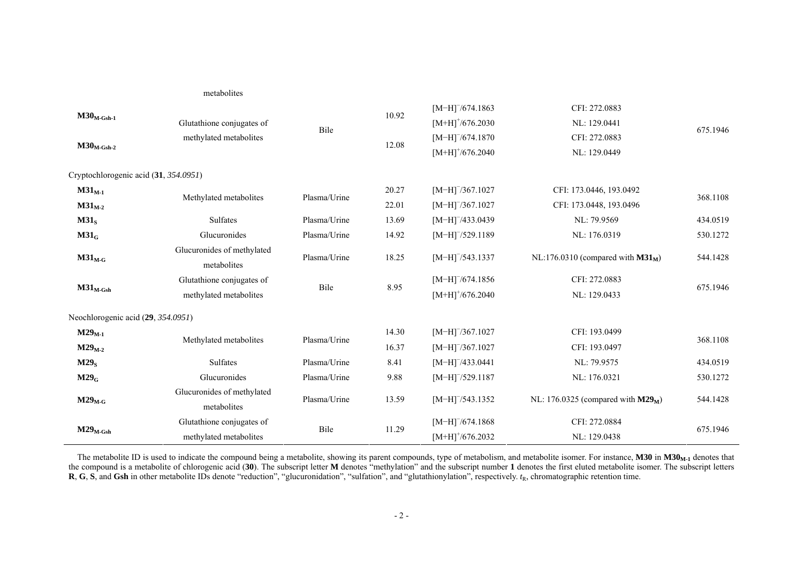|                                       | metabolites                               |              |       |                                |                                       |          |  |
|---------------------------------------|-------------------------------------------|--------------|-------|--------------------------------|---------------------------------------|----------|--|
|                                       |                                           |              | 10.92 | $[M-H]^{-}/674.1863$           | CFI: 272.0883                         |          |  |
| $M30_{M\text{-}Gsh\text{-}1}$         | Glutathione conjugates of                 |              |       | $[M+H]^{+}/676.2030$           | NL: 129.0441                          | 675.1946 |  |
|                                       | methylated metabolites                    | Bile         |       | $[M-H]^{-}/674.1870$           | CFI: 272.0883                         |          |  |
| $M30_{M\text{-}Gsh-2}$                |                                           |              | 12.08 | $[M+H]^{+}/676.2040$           | NL: 129.0449                          |          |  |
| Cryptochlorogenic acid (31, 354.0951) |                                           |              |       |                                |                                       |          |  |
| $M31_{M-1}$                           | Methylated metabolites                    | Plasma/Urine | 20.27 | $[M-H]^{-}/367.1027$           | CFI: 173.0446, 193.0492               | 368.1108 |  |
| $M31M-2$                              |                                           |              | 22.01 | $[M-H]$ /367.1027              | CFI: 173.0448, 193.0496               |          |  |
| M31 <sub>S</sub>                      | <b>Sulfates</b>                           | Plasma/Urine | 13.69 | $[M-H]^{-}/433.0439$           | NL: 79.9569                           | 434.0519 |  |
| $M31_G$                               | Glucuronides                              | Plasma/Urine | 14.92 | $[M-H]$ /529.1189              | NL: 176.0319                          | 530.1272 |  |
| $M31_{M-G}$                           | Glucuronides of methylated<br>metabolites | Plasma/Urine | 18.25 | $[M-H]^{-}/543.1337$           | NL:176.0310 (compared with $M31_M$ )  | 544.1428 |  |
|                                       | Glutathione conjugates of                 |              |       | $[M-H]^{-}/674.1856$           | CFI: 272.0883                         |          |  |
| $M31_{M\text{-}Gsh}$                  | methylated metabolites                    | Bile         | 8.95  | $[M+H]^{+/676.2040}$           | NL: 129.0433                          | 675.1946 |  |
| Neochlorogenic acid (29, 354.0951)    |                                           |              |       |                                |                                       |          |  |
| $M29_{M-1}$                           |                                           |              | 14.30 | $[M-H]$ <sup>-</sup> /367.1027 | CFI: 193.0499                         |          |  |
| $M29_{M-2}$                           | Methylated metabolites                    | Plasma/Urine | 16.37 | $[M-H]$ /367.1027              | CFI: 193.0497                         | 368.1108 |  |
| M29 <sub>S</sub>                      | Sulfates                                  | Plasma/Urine | 8.41  | $[M-H]^{-}/433.0441$           | NL: 79.9575                           | 434.0519 |  |
| $M29_G$                               | Glucuronides                              | Plasma/Urine | 9.88  | $[M-H]$ /529.1187              | NL: 176.0321                          | 530.1272 |  |
| $M29_{M-G}$                           | Glucuronides of methylated<br>metabolites | Plasma/Urine | 13.59 | $[M-H]$ /543.1352              | NL: 176.0325 (compared with $M29_M$ ) | 544.1428 |  |
|                                       | Glutathione conjugates of                 | Bile         | 11.29 | $[M-H]$ /674.1868              | CFI: 272.0884                         | 675.1946 |  |
| $M29_{M\text{-}Gsh}$                  | methylated metabolites                    |              |       | $[M+H]^{+}/676.2032$           | NL: 129.0438                          |          |  |

The metabolite ID is used to indicate the compound being a metabolite, showing its parent compounds, type of metabolism, and metabolite isomer. For instance,  $M30$  in  $M30<sub>M-1</sub>$  denotes that the compound is a metabolite of chlorogenic acid (**30**). The subscript letter **M** denotes "methylation" and the subscript number **1** denotes the first eluted metabolite isomer. The subscript letters **R**, **G**, **S**, and **Gsh** in other metabolite IDs denote "reduction", "glucuronidation", "sulfation", and "glutathionylation", respectively. *t*<sub>R</sub>, chromatographic retention time.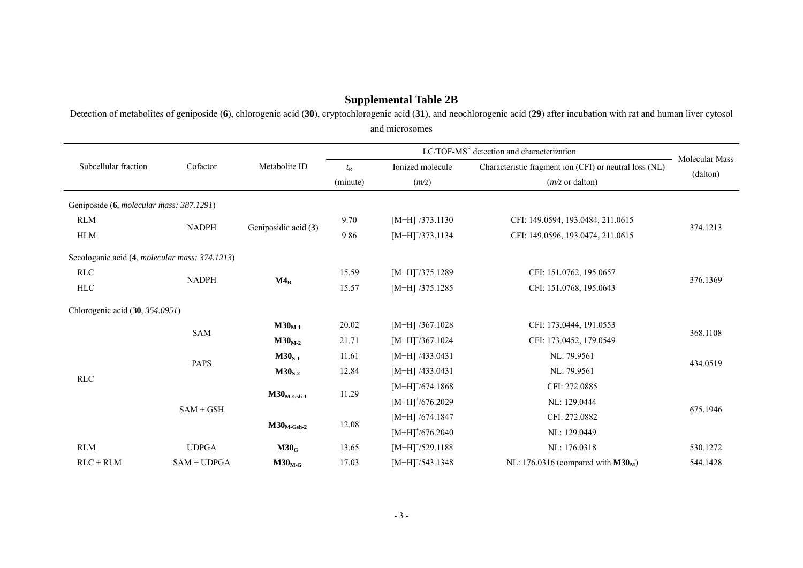# **Supplemental Table 2B**

Detection of metabolites of geniposide (**6**), chlorogenic acid (**30**), cryptochlorogenic acid (**31**), and neochlorogenic acid (**29**) after incubation with rat and human liver cytosol and microsomes

| Subcellular fraction                                   | Cofactor      | Metabolite ID                 | $t_{\rm R}$ | Ionized molecule               | Characteristic fragment ion (CFI) or neutral loss (NL) | Molecular Mass |  |
|--------------------------------------------------------|---------------|-------------------------------|-------------|--------------------------------|--------------------------------------------------------|----------------|--|
|                                                        |               |                               | (minute)    | (m/z)                          | $(m/z \text{ or dalton})$                              | (dalton)       |  |
| Geniposide (6, <i>molecular mass: 387.1291</i> )       |               |                               |             |                                |                                                        |                |  |
| <b>RLM</b>                                             |               |                               | 9.70        | $[M-H]^{-}/373.1130$           | CFI: 149.0594, 193.0484, 211.0615                      |                |  |
| <b>HLM</b>                                             | <b>NADPH</b>  | Geniposidic acid (3)          | 9.86        | $[M-H]$ /373.1134              | CFI: 149.0596, 193.0474, 211.0615                      | 374.1213       |  |
| Secologanic acid (4, <i>molecular mass: 374.1213</i> ) |               |                               |             |                                |                                                        |                |  |
| RLC                                                    |               |                               | 15.59       | $[M-H]$ /375.1289              | CFI: 151.0762, 195.0657                                |                |  |
| ${\rm HLC}$                                            | <b>NADPH</b>  | $M4_R$                        | 15.57       | $[M-H]$ /375.1285              | CFI: 151.0768, 195.0643                                | 376.1369       |  |
| Chlorogenic acid (30, 354.0951)                        |               |                               |             |                                |                                                        |                |  |
|                                                        | <b>SAM</b>    | $M30M-1$                      | 20.02       | $[M-H]^{-}/367.1028$           | CFI: 173.0444, 191.0553                                |                |  |
|                                                        |               | $M30M-2$                      | 21.71       | $[M-H]$ /367.1024              | CFI: 173.0452, 179.0549                                | 368.1108       |  |
|                                                        |               | $M30S-1$                      | 11.61       | $[M-H]^{-}/433.0431$           | NL: 79.9561                                            |                |  |
|                                                        | <b>PAPS</b>   | $M30S-2$                      | 12.84       | $[M-H]^{-}/433.0431$           | NL: 79.9561                                            | 434.0519       |  |
| RLC                                                    |               |                               |             | $[M-H]$ /674.1868              | CFI: 272.0885                                          |                |  |
|                                                        |               | $M30_{M\text{-}Gsh\text{-}1}$ | 11.29       | $[M+H]$ <sup>+</sup> /676.2029 | NL: 129.0444                                           |                |  |
|                                                        | $SAM + GSH$   |                               |             | $[M-H]^{-}/674.1847$           | CFI: 272.0882                                          | 675.1946       |  |
|                                                        |               | $M30_{M\text{-}Gsh\text{-}2}$ | 12.08       | $[M+H]$ <sup>+</sup> /676.2040 | NL: 129.0449                                           |                |  |
| <b>RLM</b>                                             | <b>UDPGA</b>  | M30 <sub>G</sub>              | 13.65       | $[M-H]$ /529.1188              | NL: 176.0318                                           | 530.1272       |  |
| $RLC + RLM$                                            | $SAM + UDPGA$ | $M30_{M-G}$                   | 17.03       | $[M-H]^{-}/543.1348$           | NL: 176.0316 (compared with $M30M$ )                   | 544.1428       |  |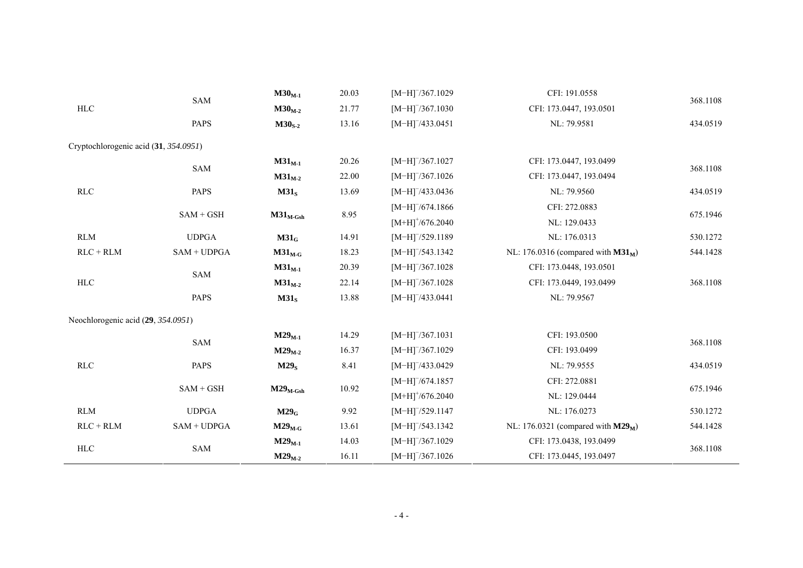|                                       | SAM           | $M30M-1$             | 20.03<br>$[M-H]$ /367.1029 |                                | CFI: 191.0558                         |          |  |
|---------------------------------------|---------------|----------------------|----------------------------|--------------------------------|---------------------------------------|----------|--|
| <b>HLC</b>                            |               | $M30M-2$             | 21.77                      | $[M-H]$ /367.1030              | CFI: 173.0447, 193.0501               | 368.1108 |  |
|                                       | <b>PAPS</b>   | $M30S-2$             | 13.16                      | $[M-H]^{-}/433.0451$           | NL: 79.9581                           | 434.0519 |  |
| Cryptochlorogenic acid (31, 354.0951) |               |                      |                            |                                |                                       |          |  |
|                                       | SAM           | $M31_{M-1}$          | 20.26                      | $[M-H]$ /367.1027              | CFI: 173.0447, 193.0499               | 368.1108 |  |
|                                       |               | $M31_{M-2}$          | 22.00                      | $[M-H]$ /367.1026              | CFI: 173.0447, 193.0494               |          |  |
| <b>RLC</b>                            | <b>PAPS</b>   | M31 <sub>S</sub>     | 13.69                      | $[M-H]$ /433.0436              | NL: 79.9560                           | 434.0519 |  |
|                                       |               |                      |                            | $[M-H]$ /674.1866              | CFI: 272.0883                         |          |  |
|                                       | $SAM + GSH$   | $M31_{M\text{-}Gsh}$ | 8.95                       | $[M+H]$ <sup>+</sup> /676.2040 | NL: 129.0433                          | 675.1946 |  |
| <b>RLM</b>                            | <b>UDPGA</b>  | $M31_G$              | 14.91                      | $[M-H]$ /529.1189              | NL: 176.0313                          | 530.1272 |  |
| $RLC + RLM$                           | $SAM + UDPGA$ | $M31_{M-G}$          | 18.23                      | $[M-H]$ /543.1342              | NL: 176.0316 (compared with $M31_M$ ) | 544.1428 |  |
|                                       |               | $M31_{M-1}$          | 20.39                      | $[M-H]^{-}/367.1028$           | CFI: 173.0448, 193.0501               |          |  |
| $\rm HLC$                             | SAM           | $M31_{M-2}$          | 22.14                      | $[M-H]^{-}/367.1028$           | CFI: 173.0449, 193.0499               | 368.1108 |  |
|                                       | PAPS          | M31 <sub>S</sub>     | 13.88                      | $[M-H]^{-}/433.0441$           | NL: 79.9567                           |          |  |
| Neochlorogenic acid (29, 354.0951)    |               |                      |                            |                                |                                       |          |  |
|                                       |               | $M29_{M-1}$          | 14.29                      | $[M-H]^{-}/367.1031$           | CFI: 193.0500                         |          |  |
|                                       | <b>SAM</b>    | $M29_{M-2}$          | 16.37                      | $[M-H]$ /367.1029              | CFI: 193.0499                         | 368.1108 |  |
| RLC                                   | <b>PAPS</b>   | M29 <sub>S</sub>     | 8.41                       | $[M-H]^{-}/433.0429$           | NL: 79.9555                           | 434.0519 |  |
|                                       |               |                      |                            | $[M-H]^{-}/674.1857$           | CFI: 272.0881                         |          |  |
|                                       | $SAM + GSH$   | $M29_{M\text{-}Gsh}$ | 10.92                      | $[M+H]^{+}/676.2040$           | NL: 129.0444                          | 675.1946 |  |
| <b>RLM</b>                            | <b>UDPGA</b>  | $M29_G$              | 9.92                       | $[M-H]$ /529.1147              | NL: 176.0273                          | 530.1272 |  |
| $RLC + RLM$                           | $SAM + UDPGA$ | $M29_{M-G}$          | 13.61                      | $[M-H]^{-}/543.1342$           | NL: 176.0321 (compared with $M29M$ )  | 544.1428 |  |
|                                       |               | $M29_{M-1}$          | 14.03                      | $[M-H]^{-}/367.1029$           | CFI: 173.0438, 193.0499               |          |  |
| <b>HLC</b>                            | <b>SAM</b>    | $M29_{M-2}$          | 16.11                      | $[M-H]$ /367.1026              | CFI: 173.0445, 193.0497               | 368.1108 |  |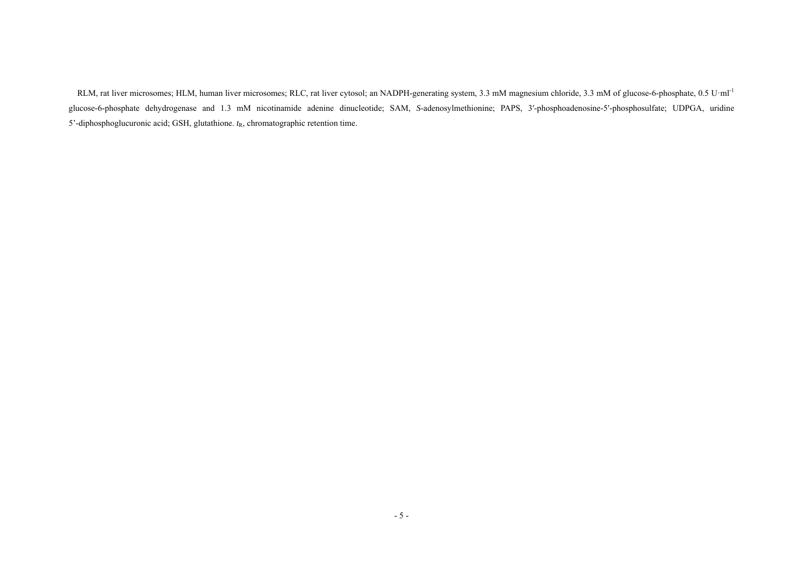RLM, rat liver microsomes; HLM, human liver microsomes; RLC, rat liver cytosol; an NADPH-generating system, 3.3 mM magnesium chloride, 3.3 mM of glucose-6-phosphate, 0.5 U·ml<sup>-1</sup> glucose-6-phosphate dehydrogenase and 1.3 mM nicotinamide adenine dinucleotide; SAM, *S*-adenosylmethionine; PAPS, 3′-phosphoadenosine-5′-phosphosulfate; UDPGA, uridine 5'-diphosphoglucuronic acid; GSH, glutathione. *<sup>t</sup>*R, chromatographic retention time.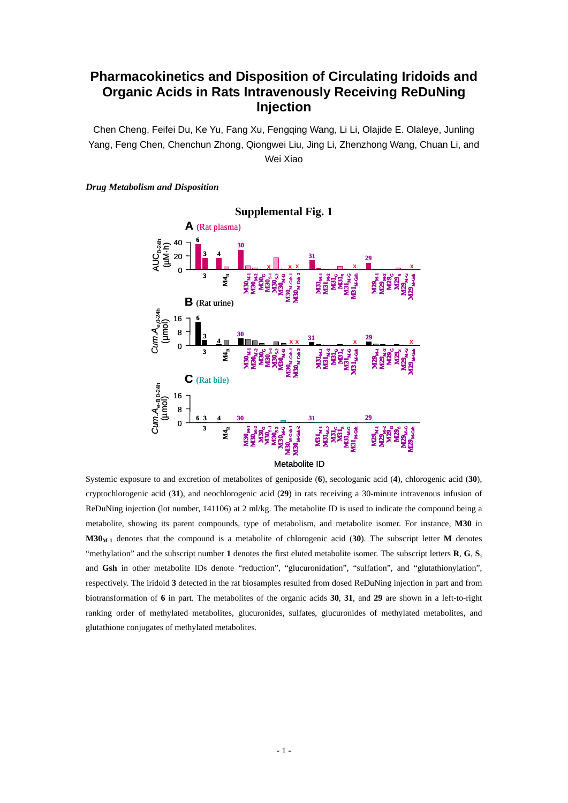# **Pharmacokinetics and Disposition of Circulating Iridoids and Organic Acids in Rats Intravenously Receiving ReDuNing Injection**

Chen Cheng, Feifei Du, Ke Yu, Fang Xu, Fengqing Wang, Li Li, Olajide E. Olaleye, Junling Yang, Feng Chen, Chenchun Zhong, Qiongwei Liu, Jing Li, Zhenzhong Wang, Chuan Li, and Wei Xiao

#### *Drug Metabolism and Disposition*



Systemic exposure to and excretion of metabolites of geniposide (**6**), secologanic acid (**4**), chlorogenic acid (**30**), cryptochlorogenic acid (**31**), and neochlorogenic acid (**29**) in rats receiving a 30-minute intravenous infusion of ReDuNing injection (lot number, 141106) at 2 ml/kg. The metabolite ID is used to indicate the compound being a metabolite, showing its parent compounds, type of metabolism, and metabolite isomer. For instance, **M30** in **M30M-1** denotes that the compound is a metabolite of chlorogenic acid (**30**). The subscript letter **M** denotes "methylation" and the subscript number **1** denotes the first eluted metabolite isomer. The subscript letters **R**, **G**, **S**, and **Gsh** in other metabolite IDs denote "reduction", "glucuronidation", "sulfation", and "glutathionylation", respectively. The iridoid **3** detected in the rat biosamples resulted from dosed ReDuNing injection in part and from biotransformation of **6** in part. The metabolites of the organic acids **30**, **31**, and **29** are shown in a left-to-right ranking order of methylated metabolites, glucuronides, sulfates, glucuronides of methylated metabolites, and glutathione conjugates of methylated metabolites.